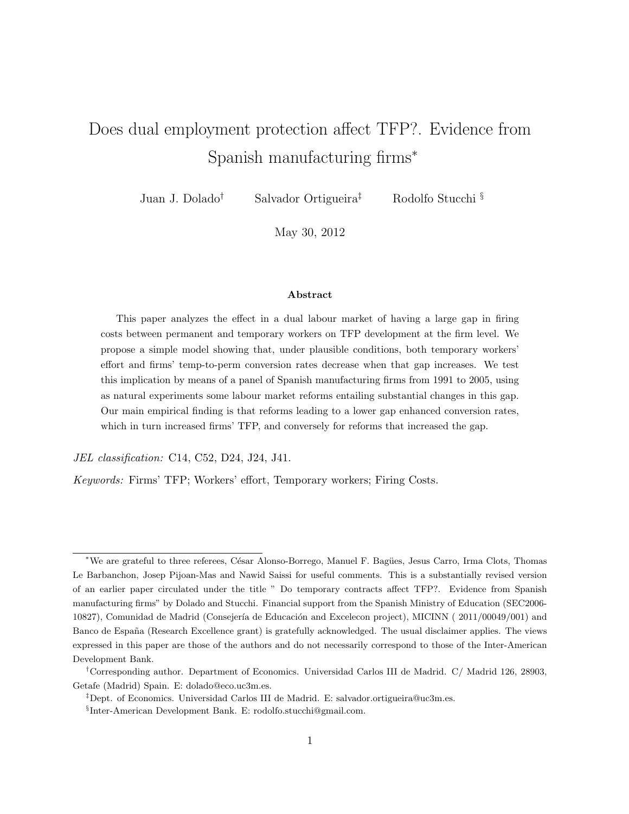# Does dual employment protection affect TFP?. Evidence from Spanish manufacturing firms<sup>∗</sup>

Juan J. Dolado† Salvador Ortigueira‡ Rodolfo Stucchi §

May 30, 2012

#### Abstract

This paper analyzes the effect in a dual labour market of having a large gap in firing costs between permanent and temporary workers on TFP development at the firm level. We propose a simple model showing that, under plausible conditions, both temporary workers' effort and firms' temp-to-perm conversion rates decrease when that gap increases. We test this implication by means of a panel of Spanish manufacturing firms from 1991 to 2005, using as natural experiments some labour market reforms entailing substantial changes in this gap. Our main empirical finding is that reforms leading to a lower gap enhanced conversion rates, which in turn increased firms' TFP, and conversely for reforms that increased the gap.

JEL classification: C14, C52, D24, J24, J41.

Keywords: Firms' TFP; Workers' effort, Temporary workers; Firing Costs.

<sup>\*</sup>We are grateful to three referees, César Alonso-Borrego, Manuel F. Bagües, Jesus Carro, Irma Clots, Thomas Le Barbanchon, Josep Pijoan-Mas and Nawid Saissi for useful comments. This is a substantially revised version of an earlier paper circulated under the title " Do temporary contracts affect TFP?. Evidence from Spanish manufacturing firms" by Dolado and Stucchi. Financial support from the Spanish Ministry of Education (SEC2006- 10827), Comunidad de Madrid (Consejería de Educación and Excelecon project), MICINN (2011/00049/001) and Banco de España (Research Excellence grant) is gratefully acknowledged. The usual disclaimer applies. The views expressed in this paper are those of the authors and do not necessarily correspond to those of the Inter-American Development Bank.

<sup>†</sup>Corresponding author. Department of Economics. Universidad Carlos III de Madrid. C/ Madrid 126, 28903, Getafe (Madrid) Spain. E: dolado@eco.uc3m.es.

<sup>‡</sup>Dept. of Economics. Universidad Carlos III de Madrid. E: salvador.ortigueira@uc3m.es.

<sup>§</sup> Inter-American Development Bank. E: rodolfo.stucchi@gmail.com.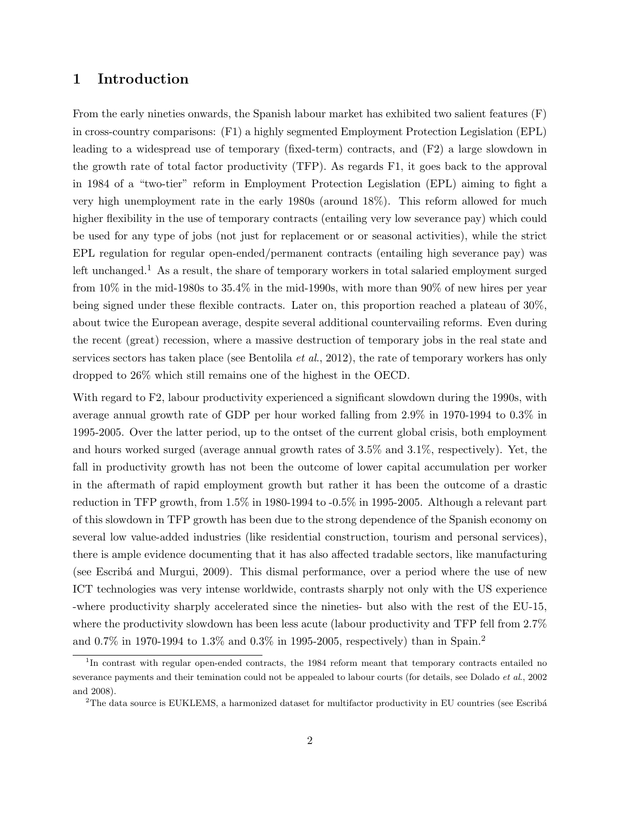# 1 Introduction

From the early nineties onwards, the Spanish labour market has exhibited two salient features (F) in cross-country comparisons: (F1) a highly segmented Employment Protection Legislation (EPL) leading to a widespread use of temporary (fixed-term) contracts, and (F2) a large slowdown in the growth rate of total factor productivity (TFP). As regards F1, it goes back to the approval in 1984 of a "two-tier" reform in Employment Protection Legislation (EPL) aiming to fight a very high unemployment rate in the early 1980s (around 18%). This reform allowed for much higher flexibility in the use of temporary contracts (entailing very low severance pay) which could be used for any type of jobs (not just for replacement or or seasonal activities), while the strict EPL regulation for regular open-ended/permanent contracts (entailing high severance pay) was left unchanged.<sup>1</sup> As a result, the share of temporary workers in total salaried employment surged from 10% in the mid-1980s to 35.4% in the mid-1990s, with more than 90% of new hires per year being signed under these flexible contracts. Later on, this proportion reached a plateau of 30%, about twice the European average, despite several additional countervailing reforms. Even during the recent (great) recession, where a massive destruction of temporary jobs in the real state and services sectors has taken place (see Bentolila *et al.*, 2012), the rate of temporary workers has only dropped to 26% which still remains one of the highest in the OECD.

With regard to F2, labour productivity experienced a significant slowdown during the 1990s, with average annual growth rate of GDP per hour worked falling from 2.9% in 1970-1994 to 0.3% in 1995-2005. Over the latter period, up to the ontset of the current global crisis, both employment and hours worked surged (average annual growth rates of 3.5% and 3.1%, respectively). Yet, the fall in productivity growth has not been the outcome of lower capital accumulation per worker in the aftermath of rapid employment growth but rather it has been the outcome of a drastic reduction in TFP growth, from 1.5% in 1980-1994 to -0.5% in 1995-2005. Although a relevant part of this slowdown in TFP growth has been due to the strong dependence of the Spanish economy on several low value-added industries (like residential construction, tourism and personal services), there is ample evidence documenting that it has also affected tradable sectors, like manufacturing (see Escribá and Murgui, 2009). This dismal performance, over a period where the use of new ICT technologies was very intense worldwide, contrasts sharply not only with the US experience -where productivity sharply accelerated since the nineties- but also with the rest of the EU-15, where the productivity slowdown has been less acute (labour productivity and TFP fell from 2.7% and 0.7% in 1970-1994 to 1.3% and 0.3% in 1995-2005, respectively) than in Spain.<sup>2</sup>

<sup>&</sup>lt;sup>1</sup>In contrast with regular open-ended contracts, the 1984 reform meant that temporary contracts entailed no severance payments and their temination could not be appealed to labour courts (for details, see Dolado *et al.*, 2002 and 2008).

<sup>&</sup>lt;sup>2</sup>The data source is EUKLEMS, a harmonized dataset for multifactor productivity in EU countries (see Escribá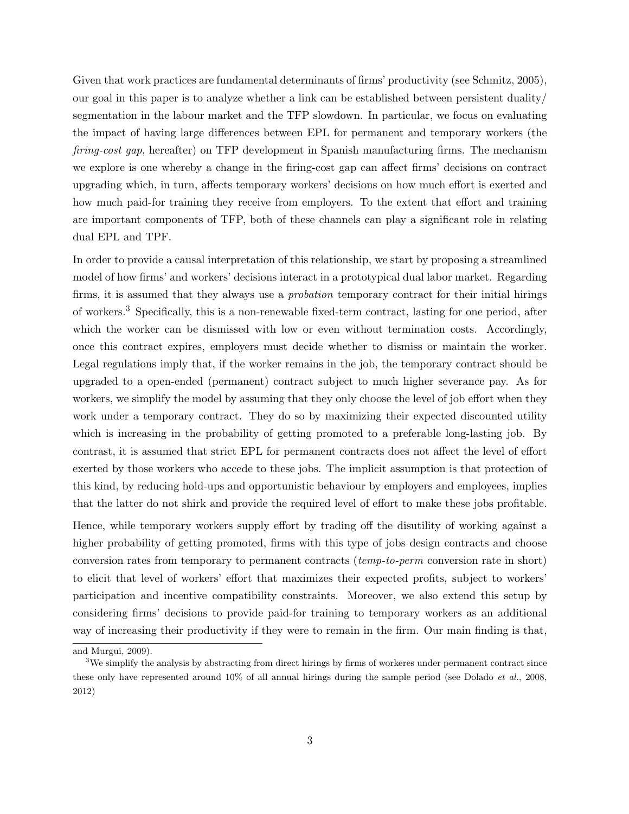Given that work practices are fundamental determinants of firms' productivity (see Schmitz, 2005), our goal in this paper is to analyze whether a link can be established between persistent duality/ segmentation in the labour market and the TFP slowdown. In particular, we focus on evaluating the impact of having large differences between EPL for permanent and temporary workers (the firing-cost gap, hereafter) on TFP development in Spanish manufacturing firms. The mechanism we explore is one whereby a change in the firing-cost gap can affect firms' decisions on contract upgrading which, in turn, affects temporary workers' decisions on how much effort is exerted and how much paid-for training they receive from employers. To the extent that effort and training are important components of TFP, both of these channels can play a significant role in relating dual EPL and TPF.

In order to provide a causal interpretation of this relationship, we start by proposing a streamlined model of how firms' and workers' decisions interact in a prototypical dual labor market. Regarding firms, it is assumed that they always use a *probation* temporary contract for their initial hirings of workers.<sup>3</sup> Specifically, this is a non-renewable fixed-term contract, lasting for one period, after which the worker can be dismissed with low or even without termination costs. Accordingly, once this contract expires, employers must decide whether to dismiss or maintain the worker. Legal regulations imply that, if the worker remains in the job, the temporary contract should be upgraded to a open-ended (permanent) contract subject to much higher severance pay. As for workers, we simplify the model by assuming that they only choose the level of job effort when they work under a temporary contract. They do so by maximizing their expected discounted utility which is increasing in the probability of getting promoted to a preferable long-lasting job. By contrast, it is assumed that strict EPL for permanent contracts does not affect the level of effort exerted by those workers who accede to these jobs. The implicit assumption is that protection of this kind, by reducing hold-ups and opportunistic behaviour by employers and employees, implies that the latter do not shirk and provide the required level of effort to make these jobs profitable.

Hence, while temporary workers supply effort by trading off the disutility of working against a higher probability of getting promoted, firms with this type of jobs design contracts and choose conversion rates from temporary to permanent contracts (temp-to-perm conversion rate in short) to elicit that level of workers' effort that maximizes their expected profits, subject to workers' participation and incentive compatibility constraints. Moreover, we also extend this setup by considering firms' decisions to provide paid-for training to temporary workers as an additional way of increasing their productivity if they were to remain in the firm. Our main finding is that,

and Murgui, 2009).

 $3$ We simplify the analysis by abstracting from direct hirings by firms of workeres under permanent contract since these only have represented around 10% of all annual hirings during the sample period (see Dolado *et al.*, 2008, 2012)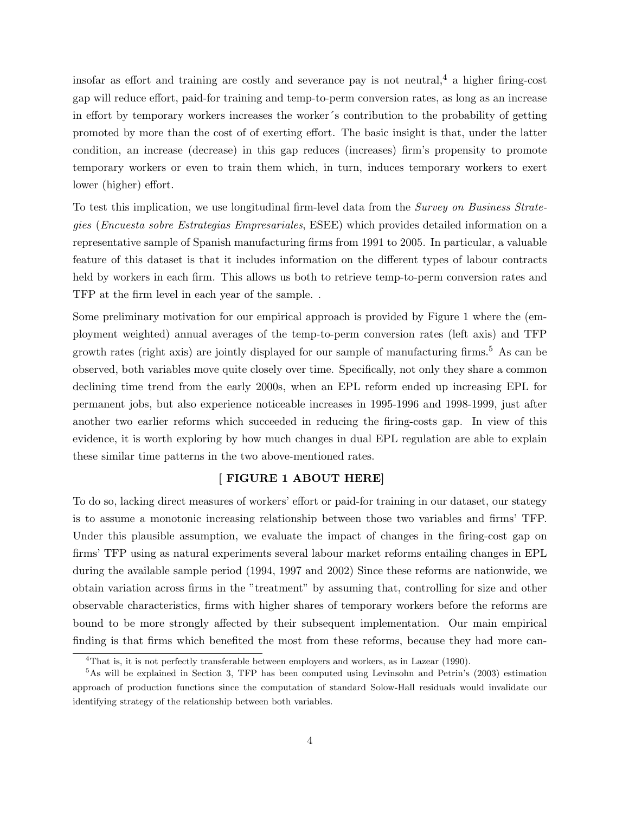insofar as effort and training are costly and severance pay is not neutral,  $4$  a higher firing-cost gap will reduce effort, paid-for training and temp-to-perm conversion rates, as long as an increase in effort by temporary workers increases the worker´s contribution to the probability of getting promoted by more than the cost of of exerting effort. The basic insight is that, under the latter condition, an increase (decrease) in this gap reduces (increases) firm's propensity to promote temporary workers or even to train them which, in turn, induces temporary workers to exert lower (higher) effort.

To test this implication, we use longitudinal firm-level data from the Survey on Business Strategies (Encuesta sobre Estrategias Empresariales, ESEE) which provides detailed information on a representative sample of Spanish manufacturing firms from 1991 to 2005. In particular, a valuable feature of this dataset is that it includes information on the different types of labour contracts held by workers in each firm. This allows us both to retrieve temp-to-perm conversion rates and TFP at the firm level in each year of the sample. .

Some preliminary motivation for our empirical approach is provided by Figure 1 where the (employment weighted) annual averages of the temp-to-perm conversion rates (left axis) and TFP growth rates (right axis) are jointly displayed for our sample of manufacturing firms.<sup>5</sup> As can be observed, both variables move quite closely over time. Specifically, not only they share a common declining time trend from the early 2000s, when an EPL reform ended up increasing EPL for permanent jobs, but also experience noticeable increases in 1995-1996 and 1998-1999, just after another two earlier reforms which succeeded in reducing the firing-costs gap. In view of this evidence, it is worth exploring by how much changes in dual EPL regulation are able to explain these similar time patterns in the two above-mentioned rates.

#### [ FIGURE 1 ABOUT HERE]

To do so, lacking direct measures of workers' effort or paid-for training in our dataset, our stategy is to assume a monotonic increasing relationship between those two variables and firms' TFP. Under this plausible assumption, we evaluate the impact of changes in the firing-cost gap on firms' TFP using as natural experiments several labour market reforms entailing changes in EPL during the available sample period (1994, 1997 and 2002) Since these reforms are nationwide, we obtain variation across firms in the "treatment" by assuming that, controlling for size and other observable characteristics, firms with higher shares of temporary workers before the reforms are bound to be more strongly affected by their subsequent implementation. Our main empirical finding is that firms which benefited the most from these reforms, because they had more can-

<sup>4</sup>That is, it is not perfectly transferable between employers and workers, as in Lazear (1990).

<sup>5</sup>As will be explained in Section 3, TFP has been computed using Levinsohn and Petrin's (2003) estimation approach of production functions since the computation of standard Solow-Hall residuals would invalidate our identifying strategy of the relationship between both variables.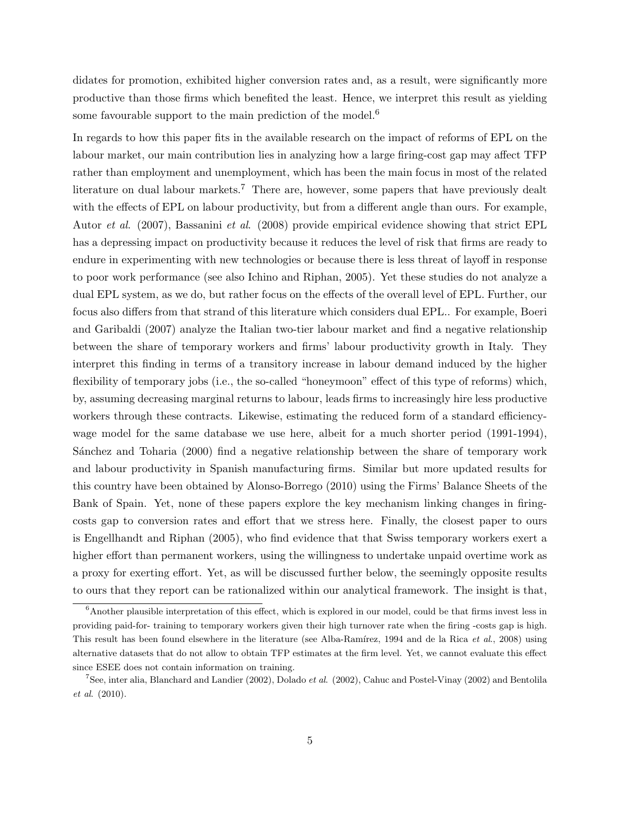didates for promotion, exhibited higher conversion rates and, as a result, were significantly more productive than those firms which benefited the least. Hence, we interpret this result as yielding some favourable support to the main prediction of the model.<sup>6</sup>

In regards to how this paper fits in the available research on the impact of reforms of EPL on the labour market, our main contribution lies in analyzing how a large firing-cost gap may affect TFP rather than employment and unemployment, which has been the main focus in most of the related literature on dual labour markets.<sup>7</sup> There are, however, some papers that have previously dealt with the effects of EPL on labour productivity, but from a different angle than ours. For example, Autor et al. (2007), Bassanini et al. (2008) provide empirical evidence showing that strict EPL has a depressing impact on productivity because it reduces the level of risk that firms are ready to endure in experimenting with new technologies or because there is less threat of layoff in response to poor work performance (see also Ichino and Riphan, 2005). Yet these studies do not analyze a dual EPL system, as we do, but rather focus on the effects of the overall level of EPL. Further, our focus also differs from that strand of this literature which considers dual EPL.. For example, Boeri and Garibaldi (2007) analyze the Italian two-tier labour market and find a negative relationship between the share of temporary workers and firms' labour productivity growth in Italy. They interpret this finding in terms of a transitory increase in labour demand induced by the higher flexibility of temporary jobs (i.e., the so-called "honeymoon" effect of this type of reforms) which, by, assuming decreasing marginal returns to labour, leads firms to increasingly hire less productive workers through these contracts. Likewise, estimating the reduced form of a standard efficiencywage model for the same database we use here, albeit for a much shorter period (1991-1994), Sánchez and Toharia (2000) find a negative relationship between the share of temporary work and labour productivity in Spanish manufacturing firms. Similar but more updated results for this country have been obtained by Alonso-Borrego (2010) using the Firms' Balance Sheets of the Bank of Spain. Yet, none of these papers explore the key mechanism linking changes in firingcosts gap to conversion rates and effort that we stress here. Finally, the closest paper to ours is Engellhandt and Riphan (2005), who find evidence that that Swiss temporary workers exert a higher effort than permanent workers, using the willingness to undertake unpaid overtime work as a proxy for exerting effort. Yet, as will be discussed further below, the seemingly opposite results to ours that they report can be rationalized within our analytical framework. The insight is that,

 $6$ Another plausible interpretation of this effect, which is explored in our model, could be that firms invest less in providing paid-for- training to temporary workers given their high turnover rate when the firing -costs gap is high. This result has been found elsewhere in the literature (see Alba-Ramírez, 1994 and de la Rica et al., 2008) using alternative datasets that do not allow to obtain TFP estimates at the firm level. Yet, we cannot evaluate this effect since ESEE does not contain information on training.

<sup>&</sup>lt;sup>7</sup>See, inter alia, Blanchard and Landier (2002), Dolado *et al.* (2002), Cahuc and Postel-Vinay (2002) and Bentolila et al. (2010).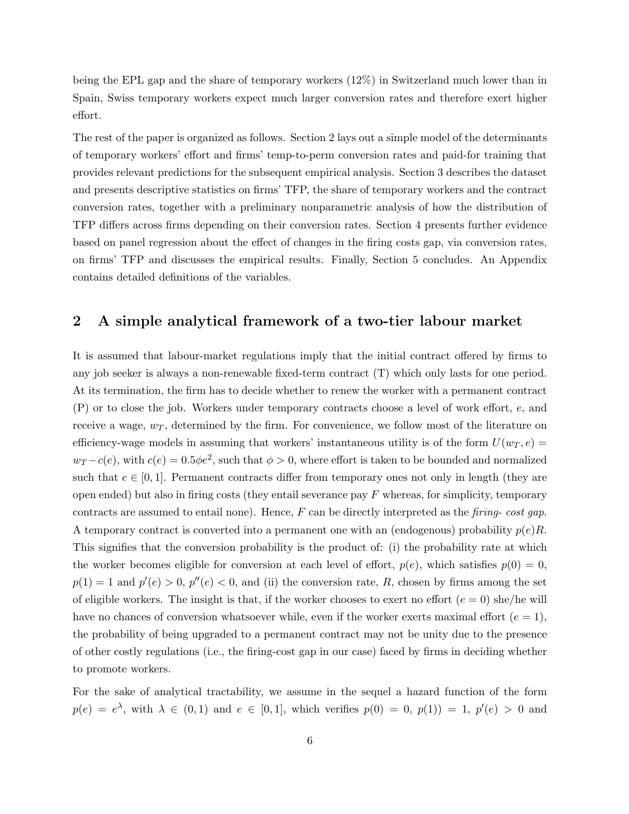being the EPL gap and the share of temporary workers (12%) in Switzerland much lower than in Spain, Swiss temporary workers expect much larger conversion rates and therefore exert higher effort.

The rest of the paper is organized as follows. Section 2 lays out a simple model of the determinants of temporary workers' effort and firms' temp-to-perm conversion rates and paid-for training that provides relevant predictions for the subsequent empirical analysis. Section 3 describes the dataset and presents descriptive statistics on firms' TFP, the share of temporary workers and the contract conversion rates, together with a preliminary nonparametric analysis of how the distribution of TFP differs across firms depending on their conversion rates. Section 4 presents further evidence based on panel regression about the effect of changes in the firing costs gap, via conversion rates, on firms' TFP and discusses the empirical results. Finally, Section 5 concludes. An Appendix contains detailed definitions of the variables.

# 2 A simple analytical framework of a two-tier labour market

It is assumed that labour-market regulations imply that the initial contract offered by firms to any job seeker is always a non-renewable fixed-term contract (T) which only lasts for one period. At its termination, the firm has to decide whether to renew the worker with a permanent contract (P) or to close the job. Workers under temporary contracts choose a level of work effort, e, and receive a wage,  $w_T$ , determined by the firm. For convenience, we follow most of the literature on efficiency-wage models in assuming that workers' instantaneous utility is of the form  $U(w_T, e)$  =  $w_T - c(e)$ , with  $c(e) = 0.5\phi e^2$ , such that  $\phi > 0$ , where effort is taken to be bounded and normalized such that  $e \in [0, 1]$ . Permanent contracts differ from temporary ones not only in length (they are open ended) but also in firing costs (they entail severance pay  $F$  whereas, for simplicity, temporary contracts are assumed to entail none). Hence,  $F$  can be directly interpreted as the *firing-cost gap*. A temporary contract is converted into a permanent one with an (endogenous) probability  $p(e)R$ . This signifies that the conversion probability is the product of: (i) the probability rate at which the worker becomes eligible for conversion at each level of effort,  $p(e)$ , which satisfies  $p(0) = 0$ ,  $p(1) = 1$  and  $p'(e) > 0$ ,  $p''(e) < 0$ , and (ii) the conversion rate, R, chosen by firms among the set of eligible workers. The insight is that, if the worker chooses to exert no effort  $(e = 0)$  she/he will have no chances of conversion whatsoever while, even if the worker exerts maximal effort  $(e = 1)$ , the probability of being upgraded to a permanent contract may not be unity due to the presence of other costly regulations (i.e., the firing-cost gap in our case) faced by firms in deciding whether to promote workers.

For the sake of analytical tractability, we assume in the sequel a hazard function of the form  $p(e) = e^{\lambda}$ , with  $\lambda \in (0,1)$  and  $e \in [0,1]$ , which verifies  $p(0) = 0$ ,  $p(1) = 1$ ,  $p'(e) > 0$  and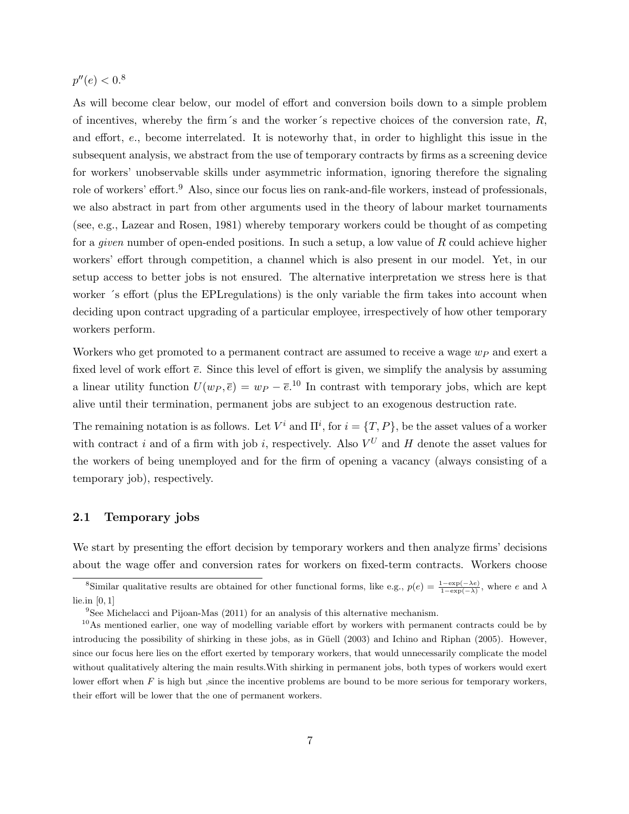## $p''(e) < 0.8$

As will become clear below, our model of effort and conversion boils down to a simple problem of incentives, whereby the firm's and the worker's repective choices of the conversion rate,  $R$ , and effort, e., become interrelated. It is noteworhy that, in order to highlight this issue in the subsequent analysis, we abstract from the use of temporary contracts by firms as a screening device for workers' unobservable skills under asymmetric information, ignoring therefore the signaling role of workers' effort.<sup>9</sup> Also, since our focus lies on rank-and-file workers, instead of professionals, we also abstract in part from other arguments used in the theory of labour market tournaments (see, e.g., Lazear and Rosen, 1981) whereby temporary workers could be thought of as competing for a *given* number of open-ended positions. In such a setup, a low value of  $R$  could achieve higher workers' effort through competition, a channel which is also present in our model. Yet, in our setup access to better jobs is not ensured. The alternative interpretation we stress here is that worker ´s effort (plus the EPLregulations) is the only variable the firm takes into account when deciding upon contract upgrading of a particular employee, irrespectively of how other temporary workers perform.

Workers who get promoted to a permanent contract are assumed to receive a wage  $w_P$  and exert a fixed level of work effort  $\bar{e}$ . Since this level of effort is given, we simplify the analysis by assuming a linear utility function  $U(w_P, \bar{e}) = w_P - \bar{e}^{10}$  In contrast with temporary jobs, which are kept alive until their termination, permanent jobs are subject to an exogenous destruction rate.

The remaining notation is as follows. Let  $V^i$  and  $\Pi^i$ , for  $i = \{T, P\}$ , be the asset values of a worker with contract i and of a firm with job i, respectively. Also  $V^U$  and H denote the asset values for the workers of being unemployed and for the firm of opening a vacancy (always consisting of a temporary job), respectively.

#### 2.1 Temporary jobs

We start by presenting the effort decision by temporary workers and then analyze firms' decisions about the wage offer and conversion rates for workers on fixed-term contracts. Workers choose

<sup>&</sup>lt;sup>8</sup>Similar qualitative results are obtained for other functional forms, like e.g.,  $p(e) = \frac{1-\exp(-\lambda e)}{1-\exp(-\lambda)}$ , where e and  $\lambda$ lie.in [0, 1]

<sup>9</sup>See Michelacci and Pijoan-Mas (2011) for an analysis of this alternative mechanism.

<sup>&</sup>lt;sup>10</sup>As mentioned earlier, one way of modelling variable effort by workers with permanent contracts could be by introducing the possibility of shirking in these jobs, as in Güell (2003) and Ichino and Riphan (2005). However, since our focus here lies on the effort exerted by temporary workers, that would unnecessarily complicate the model without qualitatively altering the main results.With shirking in permanent jobs, both types of workers would exert lower effort when  $F$  is high but, since the incentive problems are bound to be more serious for temporary workers, their effort will be lower that the one of permanent workers.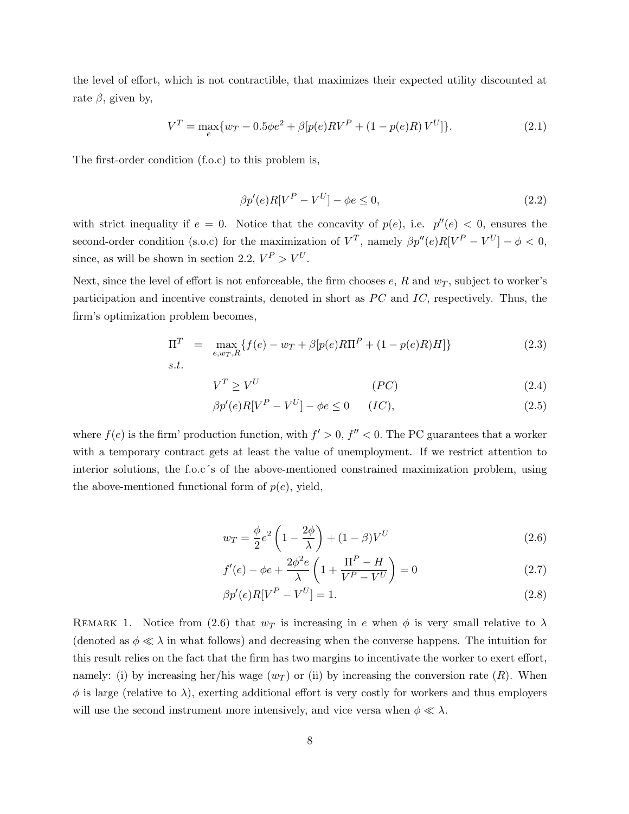the level of effort, which is not contractible, that maximizes their expected utility discounted at rate  $\beta$ , given by,

$$
V^T = \max_{e} \{ w_T - 0.5\phi e^2 + \beta [p(e)RV^P + (1 - p(e)R)V^U] \}.
$$
 (2.1)

The first-order condition (f.o.c) to this problem is,

$$
\beta p'(e)R[V^P - V^U] - \phi e \le 0,\tag{2.2}
$$

with strict inequality if  $e = 0$ . Notice that the concavity of  $p(e)$ , i.e.  $p''(e) < 0$ , ensures the second-order condition (s.o.c) for the maximization of  $V^T$ , namely  $\beta p''(e)R[V^P - V^U] - \phi < 0$ , since, as will be shown in section 2.2,  $V^P > V^U$ .

Next, since the level of effort is not enforceable, the firm chooses  $e, R$  and  $w<sub>T</sub>$ , subject to worker's participation and incentive constraints, denoted in short as  $\overline{PC}$  and  $\overline{IC}$ , respectively. Thus, the firm's optimization problem becomes,

$$
\Pi^T = \max_{e, w_T, R} \{ f(e) - w_T + \beta [p(e)R\Pi^P + (1 - p(e)R)H] \}
$$
\n(2.3)

$$
V^T \ge V^U \tag{2.4}
$$

$$
\beta p'(e)R[V^P - V^U] - \phi e \le 0 \qquad (IC), \tag{2.5}
$$

where  $f(e)$  is the firm' production function, with  $f' > 0$ ,  $f'' < 0$ . The PC guarantees that a worker with a temporary contract gets at least the value of unemployment. If we restrict attention to interior solutions, the f.o.c´s of the above-mentioned constrained maximization problem, using the above-mentioned functional form of  $p(e)$ , yield,

$$
w_T = \frac{\phi}{2}e^2 \left(1 - \frac{2\phi}{\lambda}\right) + (1 - \beta)V^U \tag{2.6}
$$

$$
f'(e) - \phi e + \frac{2\phi^2 e}{\lambda} \left( 1 + \frac{\Pi^P - H}{V^P - V^U} \right) = 0
$$
 (2.7)

$$
\beta p'(e)R[V^P - V^U] = 1.
$$
\n(2.8)

REMARK 1. Notice from (2.6) that  $w_T$  is increasing in e when  $\phi$  is very small relative to  $\lambda$ (denoted as  $\phi \ll \lambda$  in what follows) and decreasing when the converse happens. The intuition for this result relies on the fact that the firm has two margins to incentivate the worker to exert effort, namely: (i) by increasing her/his wage  $(w_T)$  or (ii) by increasing the conversion rate  $(R)$ . When  $\phi$  is large (relative to  $\lambda$ ), exerting additional effort is very costly for workers and thus employers will use the second instrument more intensively, and vice versa when  $\phi \ll \lambda$ .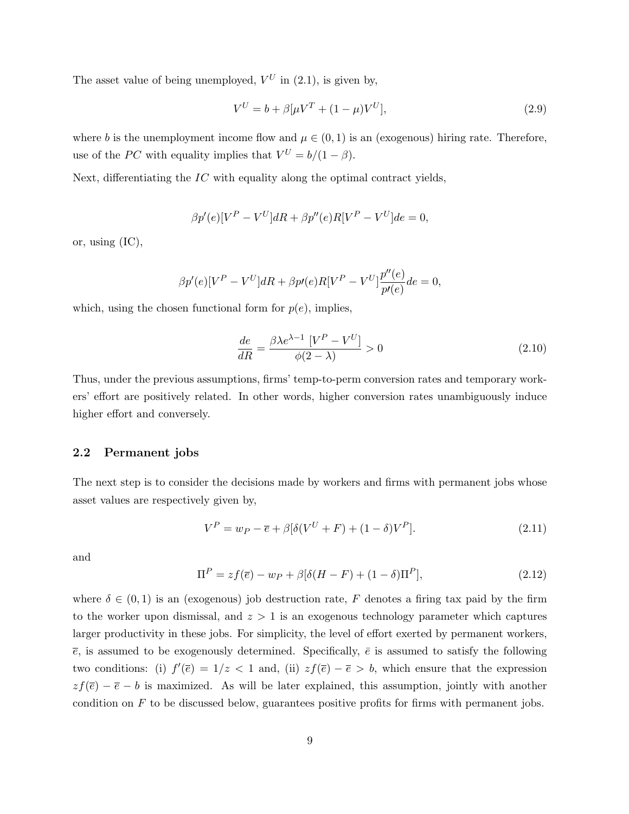The asset value of being unemployed,  $V^U$  in (2.1), is given by,

$$
V^{U} = b + \beta[\mu V^{T} + (1 - \mu)V^{U}],
$$
\n(2.9)

where b is the unemployment income flow and  $\mu \in (0,1)$  is an (exogenous) hiring rate. Therefore, use of the PC with equality implies that  $V^U = b/(1 - \beta)$ .

Next, differentiating the  $IC$  with equality along the optimal contract yields,

$$
\beta p'(e)[V^P - V^U]dR + \beta p''(e)R[V^P - V^U]de = 0,
$$

or, using (IC),

$$
\beta p'(e)[V^P - V^U]dR + \beta p'(e)R[V^P - V^U]\frac{p''(e)}{p'(e)}de = 0,
$$

which, using the chosen functional form for  $p(e)$ , implies,

$$
\frac{de}{dR} = \frac{\beta \lambda e^{\lambda - 1} \left[ V^P - V^U \right]}{\phi(2 - \lambda)} > 0
$$
\n(2.10)

Thus, under the previous assumptions, firms' temp-to-perm conversion rates and temporary workers' effort are positively related. In other words, higher conversion rates unambiguously induce higher effort and conversely.

#### 2.2 Permanent jobs

The next step is to consider the decisions made by workers and firms with permanent jobs whose asset values are respectively given by,

$$
V^{P} = w_{P} - \overline{e} + \beta[\delta(V^{U} + F) + (1 - \delta)V^{P}].
$$
\n(2.11)

and

$$
\Pi^{P} = zf(\overline{e}) - w_{P} + \beta[\delta(H - F) + (1 - \delta)\Pi^{P}], \qquad (2.12)
$$

where  $\delta \in (0,1)$  is an (exogenous) job destruction rate, F denotes a firing tax paid by the firm to the worker upon dismissal, and  $z > 1$  is an exogenous technology parameter which captures larger productivity in these jobs. For simplicity, the level of effort exerted by permanent workers,  $\bar{e}$ , is assumed to be exogenously determined. Specifically,  $\bar{e}$  is assumed to satisfy the following two conditions: (i)  $f'(\overline{e}) = 1/z < 1$  and, (ii)  $zf(\overline{e}) - \overline{e} > b$ , which ensure that the expression  $zf(\overline{e}) - \overline{e} - b$  is maximized. As will be later explained, this assumption, jointly with another condition on  $F$  to be discussed below, guarantees positive profits for firms with permanent jobs.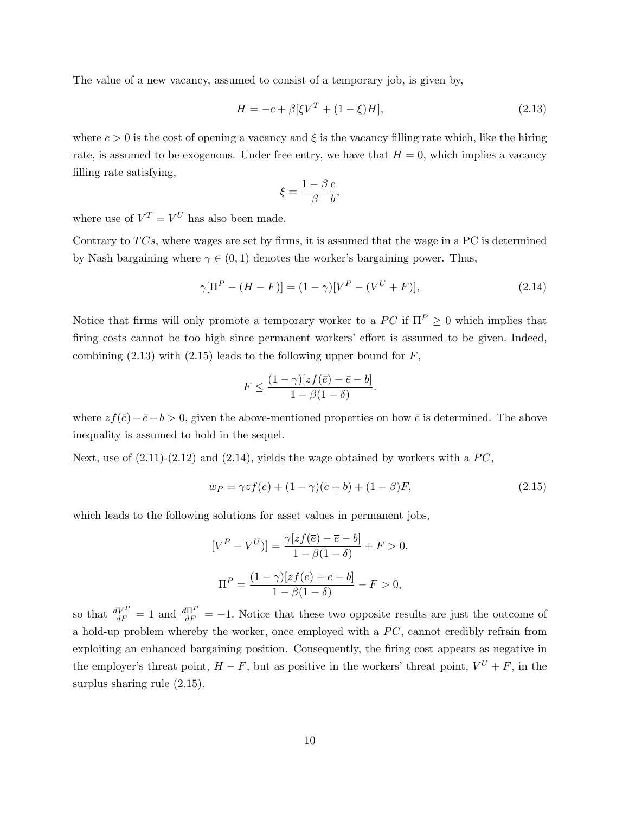The value of a new vacancy, assumed to consist of a temporary job, is given by,

$$
H = -c + \beta \left[\xi V^T + (1 - \xi)H\right],\tag{2.13}
$$

where  $c > 0$  is the cost of opening a vacancy and  $\xi$  is the vacancy filling rate which, like the hiring rate, is assumed to be exogenous. Under free entry, we have that  $H = 0$ , which implies a vacancy filling rate satisfying,

$$
\xi = \frac{1-\beta}{\beta} \frac{c}{b},
$$

where use of  $V^T = V^U$  has also been made.

Contrary to  $TCs$ , where wages are set by firms, it is assumed that the wage in a PC is determined by Nash bargaining where  $\gamma \in (0, 1)$  denotes the worker's bargaining power. Thus,

$$
\gamma[\Pi^{P} - (H - F)] = (1 - \gamma)[V^{P} - (V^{U} + F)], \qquad (2.14)
$$

Notice that firms will only promote a temporary worker to a  $PC$  if  $\Pi^P \geq 0$  which implies that firing costs cannot be too high since permanent workers' effort is assumed to be given. Indeed, combining  $(2.13)$  with  $(2.15)$  leads to the following upper bound for  $F$ ,

$$
F \le \frac{(1-\gamma)[zf(\bar{e})-\bar{e}-b]}{1-\beta(1-\delta)}.
$$

where  $zf(\bar{e})-\bar{e}-b>0$ , given the above-mentioned properties on how  $\bar{e}$  is determined. The above inequality is assumed to hold in the sequel.

Next, use of  $(2.11)-(2.12)$  and  $(2.14)$ , yields the wage obtained by workers with a PC,

$$
w_P = \gamma z f(\overline{e}) + (1 - \gamma)(\overline{e} + b) + (1 - \beta)F,
$$
\n(2.15)

which leads to the following solutions for asset values in permanent jobs,

$$
[V^P - V^U] = \frac{\gamma[zf(\overline{e}) - \overline{e} - b]}{1 - \beta(1 - \delta)} + F > 0,
$$
  

$$
\Pi^P = \frac{(1 - \gamma)[zf(\overline{e}) - \overline{e} - b]}{1 - \beta(1 - \delta)} - F > 0,
$$

so that  $\frac{dV^P}{dF} = 1$  and  $\frac{d\Pi^P}{dF} = -1$ . Notice that these two opposite results are just the outcome of a hold-up problem whereby the worker, once employed with a  $PC$ , cannot credibly refrain from exploiting an enhanced bargaining position. Consequently, the firing cost appears as negative in the employer's threat point,  $H - F$ , but as positive in the workers' threat point,  $V^U + F$ , in the surplus sharing rule (2.15).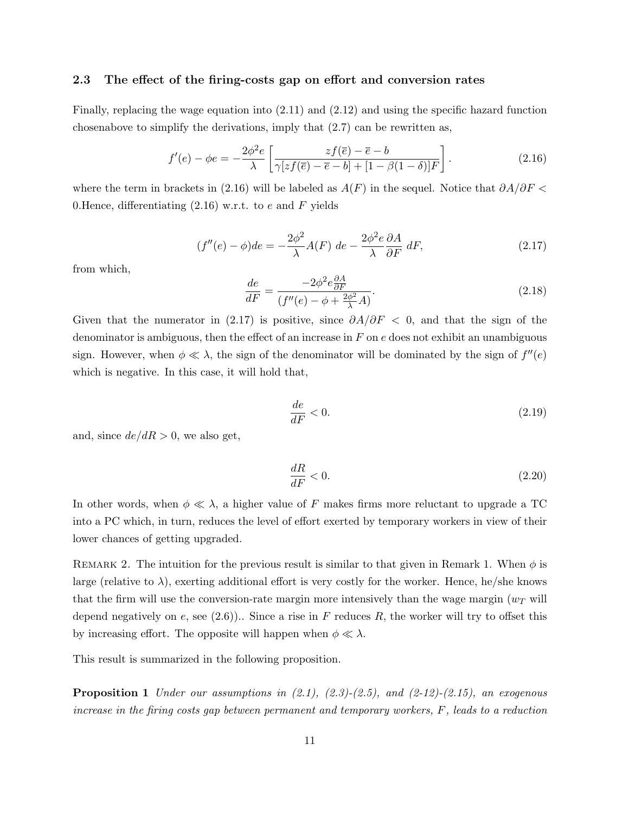#### 2.3 The effect of the firing-costs gap on effort and conversion rates

Finally, replacing the wage equation into (2.11) and (2.12) and using the specific hazard function chosenabove to simplify the derivations, imply that  $(2.7)$  can be rewritten as,

$$
f'(e) - \phi e = -\frac{2\phi^2 e}{\lambda} \left[ \frac{zf(\overline{e}) - \overline{e} - b}{\gamma [zf(\overline{e}) - \overline{e} - b] + [1 - \beta(1 - \delta)]F} \right].
$$
 (2.16)

where the term in brackets in (2.16) will be labeled as  $A(F)$  in the sequel. Notice that  $\partial A/\partial F$ 0. Hence, differentiating  $(2.16)$  w.r.t. to e and F yields

$$
(f''(e) - \phi)de = -\frac{2\phi^2}{\lambda}A(F) de - \frac{2\phi^2 e}{\lambda} \frac{\partial A}{\partial F} dF,
$$
\n(2.17)

from which,

$$
\frac{de}{dF} = \frac{-2\phi^2 e \frac{\partial A}{\partial F}}{(f''(e) - \phi + \frac{2\phi^2}{\lambda}A)}.\tag{2.18}
$$

Given that the numerator in (2.17) is positive, since  $\partial A/\partial F < 0$ , and that the sign of the denominator is ambiguous, then the effect of an increase in  $F$  on  $e$  does not exhibit an unambiguous sign. However, when  $\phi \ll \lambda$ , the sign of the denominator will be dominated by the sign of  $f''(e)$ which is negative. In this case, it will hold that,

$$
\frac{de}{dF} < 0. \tag{2.19}
$$

and, since  $de/dR > 0$ , we also get,

$$
\frac{dR}{dF} < 0. \tag{2.20}
$$

In other words, when  $\phi \ll \lambda$ , a higher value of F makes firms more reluctant to upgrade a TC into a PC which, in turn, reduces the level of effort exerted by temporary workers in view of their lower chances of getting upgraded.

REMARK 2. The intuition for the previous result is similar to that given in Remark 1. When  $\phi$  is large (relative to  $\lambda$ ), exerting additional effort is very costly for the worker. Hence, he/she knows that the firm will use the conversion-rate margin more intensively than the wage margin  $(w_T)$  will depend negatively on e, see  $(2.6)$ ).. Since a rise in F reduces R, the worker will try to offset this by increasing effort. The opposite will happen when  $\phi \ll \lambda$ .

This result is summarized in the following proposition.

**Proposition 1** Under our assumptions in  $(2.1)$ ,  $(2.3)$ - $(2.5)$ , and  $(2-12)$ - $(2.15)$ , an exogenous increase in the firing costs gap between permanent and temporary workers, F, leads to a reduction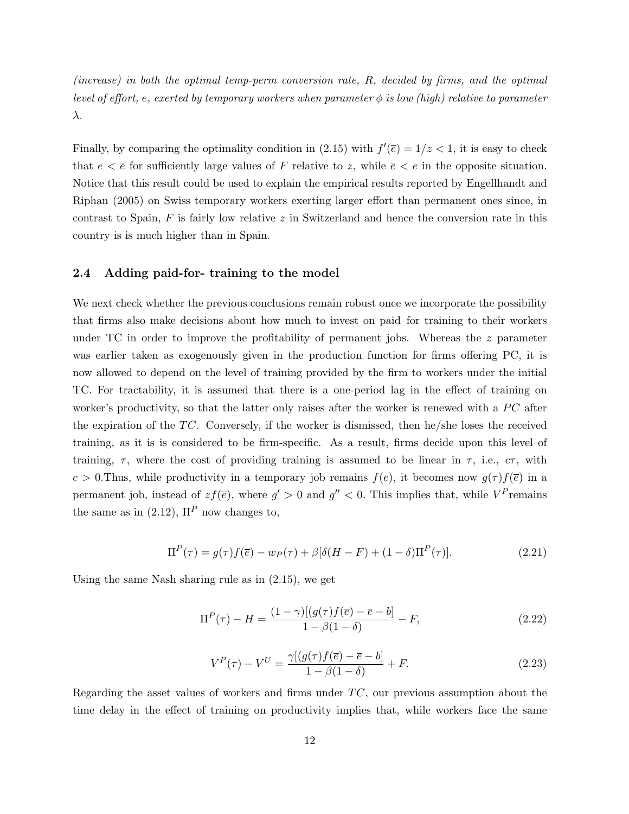(increase) in both the optimal temp-perm conversion rate, R, decided by firms, and the optimal level of effort, e, exerted by temporary workers when parameter  $\phi$  is low (high) relative to parameter λ.

Finally, by comparing the optimality condition in (2.15) with  $f'(\overline{e}) = 1/z < 1$ , it is easy to check that  $e < \overline{e}$  for sufficiently large values of F relative to z, while  $\overline{e} < e$  in the opposite situation. Notice that this result could be used to explain the empirical results reported by Engellhandt and Riphan (2005) on Swiss temporary workers exerting larger effort than permanent ones since, in contrast to Spain,  $F$  is fairly low relative  $z$  in Switzerland and hence the conversion rate in this country is is much higher than in Spain.

## 2.4 Adding paid-for- training to the model

We next check whether the previous conclusions remain robust once we incorporate the possibility that firms also make decisions about how much to invest on paid–for training to their workers under TC in order to improve the profitability of permanent jobs. Whereas the  $z$  parameter was earlier taken as exogenously given in the production function for firms offering PC, it is now allowed to depend on the level of training provided by the firm to workers under the initial TC. For tractability, it is assumed that there is a one-period lag in the effect of training on worker's productivity, so that the latter only raises after the worker is renewed with a  $\overline{PC}$  after the expiration of the  $TC$ . Conversely, if the worker is dismissed, then he/she loses the received training, as it is is considered to be firm-specific. As a result, firms decide upon this level of training,  $\tau$ , where the cost of providing training is assumed to be linear in  $\tau$ , i.e.,  $c\tau$ , with c > 0.Thus, while productivity in a temporary job remains  $f(e)$ , it becomes now  $g(\tau) f(\bar{e})$  in a permanent job, instead of  $zf(\overline{e})$ , where  $g' > 0$  and  $g'' < 0$ . This implies that, while  $V^P$  remains the same as in (2.12),  $\Pi^P$  now changes to,

$$
\Pi^{P}(\tau) = g(\tau)f(\overline{e}) - w_{P}(\tau) + \beta[\delta(H - F) + (1 - \delta)\Pi^{P}(\tau)].
$$
\n(2.21)

Using the same Nash sharing rule as in (2.15), we get

$$
\Pi^{P}(\tau) - H = \frac{(1 - \gamma)[(g(\tau)f(\bar{e}) - \bar{e} - b]}{1 - \beta(1 - \delta)} - F,
$$
\n(2.22)

$$
V^{P}(\tau) - V^{U} = \frac{\gamma[(g(\tau)f(\overline{e}) - \overline{e} - b]}{1 - \beta(1 - \delta)} + F.
$$
\n(2.23)

Regarding the asset values of workers and firms under  $TC$ , our previous assumption about the time delay in the effect of training on productivity implies that, while workers face the same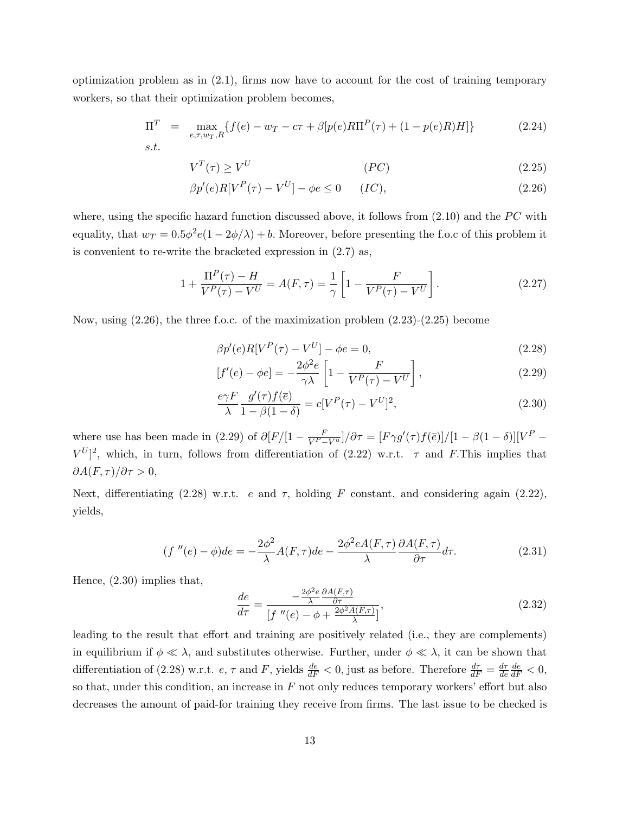optimization problem as in (2.1), firms now have to account for the cost of training temporary workers, so that their optimization problem becomes,

$$
\Pi^T = \max_{e,\tau,w_T,R} \{ f(e) - w_T - c\tau + \beta [p(e)R\Pi^P(\tau) + (1 - p(e)R)H] \}
$$
(2.24)  
s.t.

$$
V^T(\tau) \ge V^U \tag{2.25}
$$

$$
\beta p'(e)R[V^P(\tau) - V^U] - \phi e \le 0 \qquad (IC),
$$
\n
$$
(2.26)
$$

where, using the specific hazard function discussed above, it follows from  $(2.10)$  and the PC with equality, that  $w_T = 0.5\phi^2 e(1 - 2\phi/\lambda) + b$ . Moreover, before presenting the f.o.c of this problem it is convenient to re-write the bracketed expression in (2.7) as,

$$
1 + \frac{\Pi^{P}(\tau) - H}{V^{P}(\tau) - V^{U}} = A(F, \tau) = \frac{1}{\gamma} \left[ 1 - \frac{F}{V^{P}(\tau) - V^{U}} \right].
$$
 (2.27)

Now, using  $(2.26)$ , the three f.o.c. of the maximization problem  $(2.23)-(2.25)$  become

$$
\beta p'(e)R[V^P(\tau) - V^U] - \phi e = 0,
$$
\n
$$
2\phi^2 e \left[ \begin{array}{cc} F & 1 \end{array} \right]
$$
\n(2.28)

$$
[f'(e) - \phi e] = -\frac{2\phi^2 e}{\gamma \lambda} \left[ 1 - \frac{F}{V^P(\tau) - V^U} \right],
$$
\n(2.29)

$$
\frac{e\gamma F}{\lambda} \frac{g'(\tau)f(\overline{e})}{1-\beta(1-\delta)} = c[V^P(\tau) - V^U]^2,
$$
\n(2.30)

where use has been made in (2.29) of  $\partial [F/[1 - \frac{F}{V^P - V^u}]/\partial \tau = [F\gamma g'(\tau)f(\overline{e})]/[1 - \beta(1 - \delta)][V^P V^{U}$ <sup>2</sup>, which, in turn, follows from differentiation of (2.22) w.r.t.  $\tau$  and F. This implies that  $\partial A(F,\tau)/\partial \tau > 0,$ 

Next, differentiating (2.28) w.r.t. e and  $\tau$ , holding F constant, and considering again (2.22), yields,

$$
(f''(e) - \phi)de = -\frac{2\phi^2}{\lambda}A(F,\tau)de - \frac{2\phi^2 eA(F,\tau)}{\lambda} \frac{\partial A(F,\tau)}{\partial \tau}d\tau.
$$
 (2.31)

Hence, (2.30) implies that,

$$
\frac{de}{d\tau} = \frac{-\frac{2\phi^2 e}{\lambda} \frac{\partial A(F,\tau)}{\partial \tau}}{\left[f''(e) - \phi + \frac{2\phi^2 A(F,\tau)}{\lambda}\right]},
$$
\n(2.32)

leading to the result that effort and training are positively related (i.e., they are complements) in equilibrium if  $\phi \ll \lambda$ , and substitutes otherwise. Further, under  $\phi \ll \lambda$ , it can be shown that differentiation of (2.28) w.r.t.  $e, \tau$  and F, yields  $\frac{de}{dF} < 0$ , just as before. Therefore  $\frac{d\tau}{dF} = \frac{d\tau}{de}$ de  $\frac{de}{dF} < 0,$ so that, under this condition, an increase in  $F$  not only reduces temporary workers' effort but also decreases the amount of paid-for training they receive from firms. The last issue to be checked is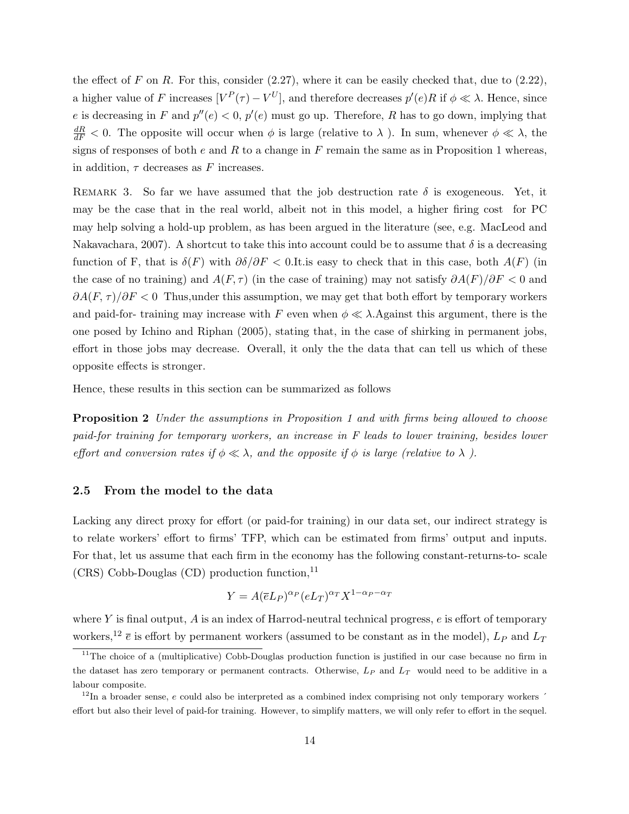the effect of F on R. For this, consider  $(2.27)$ , where it can be easily checked that, due to  $(2.22)$ , a higher value of F increases  $[V^P(\tau) - V^U]$ , and therefore decreases  $p'(e)R$  if  $\phi \ll \lambda$ . Hence, since e is decreasing in F and  $p''(e) < 0$ ,  $p'(e)$  must go up. Therefore, R has to go down, implying that  $\frac{dR}{dF}$  < 0. The opposite will occur when  $\phi$  is large (relative to  $\lambda$ ). In sum, whenever  $\phi \ll \lambda$ , the signs of responses of both e and R to a change in F remain the same as in Proposition 1 whereas, in addition,  $\tau$  decreases as F increases.

REMARK 3. So far we have assumed that the job destruction rate  $\delta$  is exogeneous. Yet, it may be the case that in the real world, albeit not in this model, a higher firing cost for PC may help solving a hold-up problem, as has been argued in the literature (see, e.g. MacLeod and Nakavachara, 2007). A shortcut to take this into account could be to assume that  $\delta$  is a decreasing function of F, that is  $\delta(F)$  with  $\partial \delta/\partial F < 0$ . It is easy to check that in this case, both  $A(F)$  (in the case of no training) and  $A(F, \tau)$  (in the case of training) may not satisfy  $\partial A(F)/\partial F < 0$  and  $\partial A(F,\tau)/\partial F < 0$  Thus, under this assumption, we may get that both effort by temporary workers and paid-for- training may increase with F even when  $\phi \ll \lambda$ . Against this argument, there is the one posed by Ichino and Riphan (2005), stating that, in the case of shirking in permanent jobs, effort in those jobs may decrease. Overall, it only the the data that can tell us which of these opposite effects is stronger.

Hence, these results in this section can be summarized as follows

**Proposition 2** Under the assumptions in Proposition 1 and with firms being allowed to choose paid-for training for temporary workers, an increase in F leads to lower training, besides lower effort and conversion rates if  $\phi \ll \lambda$ , and the opposite if  $\phi$  is large (relative to  $\lambda$ ).

#### 2.5 From the model to the data

Lacking any direct proxy for effort (or paid-for training) in our data set, our indirect strategy is to relate workers' effort to firms' TFP, which can be estimated from firms' output and inputs. For that, let us assume that each firm in the economy has the following constant-returns-to- scale  $(CRS)$  Cobb-Douglas  $(CD)$  production function,  $^{11}$ 

$$
Y = A(\overline{e}L_P)^{\alpha_P} (eL_T)^{\alpha_T} X^{1-\alpha_P-\alpha_T}
$$

where Y is final output, A is an index of Harrod-neutral technical progress,  $e$  is effort of temporary workers,<sup>12</sup>  $\bar{e}$  is effort by permanent workers (assumed to be constant as in the model),  $L_P$  and  $L_T$ 

<sup>&</sup>lt;sup>11</sup>The choice of a (multiplicative) Cobb-Douglas production function is justified in our case because no firm in the dataset has zero temporary or permanent contracts. Otherwise,  $L_P$  and  $L_T$  would need to be additive in a labour composite.

 $12$ In a broader sense, e could also be interpreted as a combined index comprising not only temporary workers  $\dot{\ }$ effort but also their level of paid-for training. However, to simplify matters, we will only refer to effort in the sequel.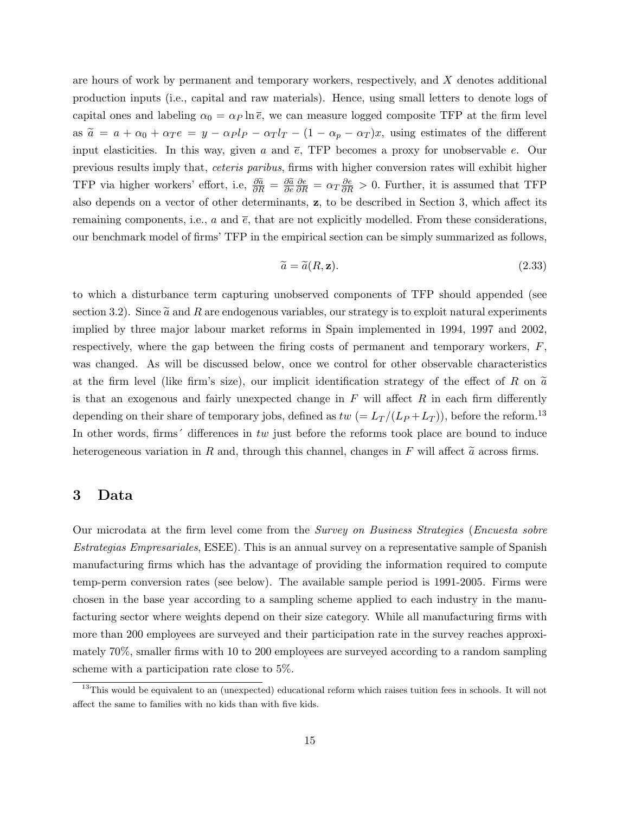are hours of work by permanent and temporary workers, respectively, and X denotes additional production inputs (i.e., capital and raw materials). Hence, using small letters to denote logs of capital ones and labeling  $\alpha_0 = \alpha_P \ln \bar{e}$ , we can measure logged composite TFP at the firm level as  $\tilde{a} = a + \alpha_0 + \alpha_T e = y - \alpha_T l_T - (1 - \alpha_p - \alpha_T) x$ , using estimates of the different input elasticities. In this way, given a and  $\bar{e}$ , TFP becomes a proxy for unobservable e. Our previous results imply that, ceteris paribus, firms with higher conversion rates will exhibit higher TFP via higher workers' effort, i.e,  $\frac{\partial \tilde{a}}{\partial R} = \frac{\partial \tilde{a}}{\partial e}$  $\frac{\partial e}{\partial R} = \alpha_T \frac{\partial e}{\partial R} > 0$ . Further, it is assumed that TFP also depends on a vector of other determinants, z, to be described in Section 3, which affect its remaining components, i.e., a and  $\bar{e}$ , that are not explicitly modelled. From these considerations, our benchmark model of firms' TFP in the empirical section can be simply summarized as follows,

$$
\widetilde{a} = \widetilde{a}(R, \mathbf{z}).\tag{2.33}
$$

to which a disturbance term capturing unobserved components of TFP should appended (see section 3.2). Since  $\tilde{a}$  and R are endogenous variables, our strategy is to exploit natural experiments implied by three major labour market reforms in Spain implemented in 1994, 1997 and 2002, respectively, where the gap between the firing costs of permanent and temporary workers,  $F$ , was changed. As will be discussed below, once we control for other observable characteristics at the firm level (like firm's size), our implicit identification strategy of the effect of R on  $\tilde{a}$ is that an exogenous and fairly unexpected change in  $F$  will affect  $R$  in each firm differently depending on their share of temporary jobs, defined as  $tw (= L_T/(L_P + L_T))$ , before the reform.<sup>13</sup> In other words, firms<sup> $\prime$ </sup> differences in tw just before the reforms took place are bound to induce heterogeneous variation in R and, through this channel, changes in F will affect  $\tilde{a}$  across firms.

## 3 Data

Our microdata at the firm level come from the Survey on Business Strategies (Encuesta sobre Estrategias Empresariales, ESEE). This is an annual survey on a representative sample of Spanish manufacturing firms which has the advantage of providing the information required to compute temp-perm conversion rates (see below). The available sample period is 1991-2005. Firms were chosen in the base year according to a sampling scheme applied to each industry in the manufacturing sector where weights depend on their size category. While all manufacturing firms with more than 200 employees are surveyed and their participation rate in the survey reaches approximately 70%, smaller firms with 10 to 200 employees are surveyed according to a random sampling scheme with a participation rate close to 5%.

<sup>&</sup>lt;sup>13</sup>This would be equivalent to an (unexpected) educational reform which raises tuition fees in schools. It will not affect the same to families with no kids than with five kids.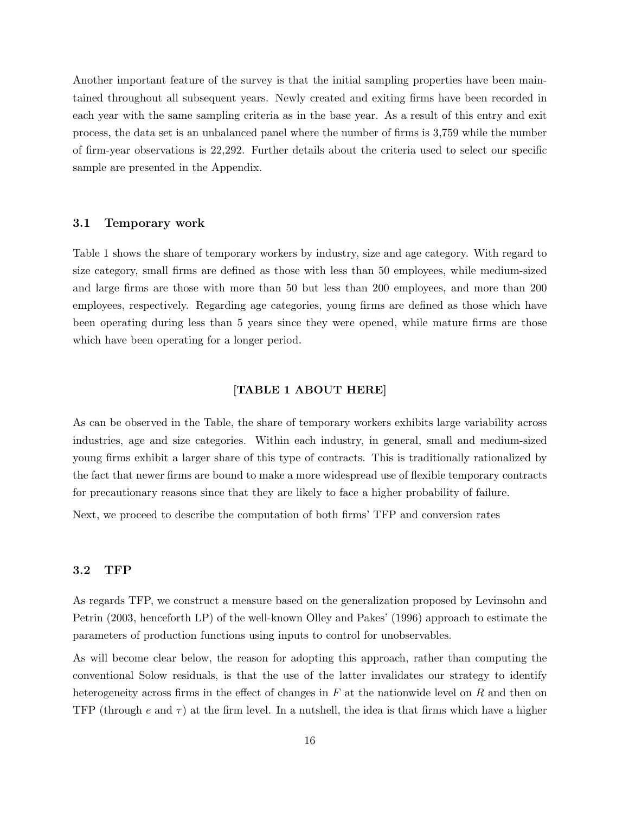Another important feature of the survey is that the initial sampling properties have been maintained throughout all subsequent years. Newly created and exiting firms have been recorded in each year with the same sampling criteria as in the base year. As a result of this entry and exit process, the data set is an unbalanced panel where the number of firms is 3,759 while the number of firm-year observations is 22,292. Further details about the criteria used to select our specific sample are presented in the Appendix.

#### 3.1 Temporary work

Table 1 shows the share of temporary workers by industry, size and age category. With regard to size category, small firms are defined as those with less than 50 employees, while medium-sized and large firms are those with more than 50 but less than 200 employees, and more than 200 employees, respectively. Regarding age categories, young firms are defined as those which have been operating during less than 5 years since they were opened, while mature firms are those which have been operating for a longer period.

#### [TABLE 1 ABOUT HERE]

As can be observed in the Table, the share of temporary workers exhibits large variability across industries, age and size categories. Within each industry, in general, small and medium-sized young firms exhibit a larger share of this type of contracts. This is traditionally rationalized by the fact that newer firms are bound to make a more widespread use of flexible temporary contracts for precautionary reasons since that they are likely to face a higher probability of failure.

Next, we proceed to describe the computation of both firms' TFP and conversion rates

### 3.2 TFP

As regards TFP, we construct a measure based on the generalization proposed by Levinsohn and Petrin (2003, henceforth LP) of the well-known Olley and Pakes' (1996) approach to estimate the parameters of production functions using inputs to control for unobservables.

As will become clear below, the reason for adopting this approach, rather than computing the conventional Solow residuals, is that the use of the latter invalidates our strategy to identify heterogeneity across firms in the effect of changes in  $F$  at the nationwide level on  $R$  and then on TFP (through e and  $\tau$ ) at the firm level. In a nutshell, the idea is that firms which have a higher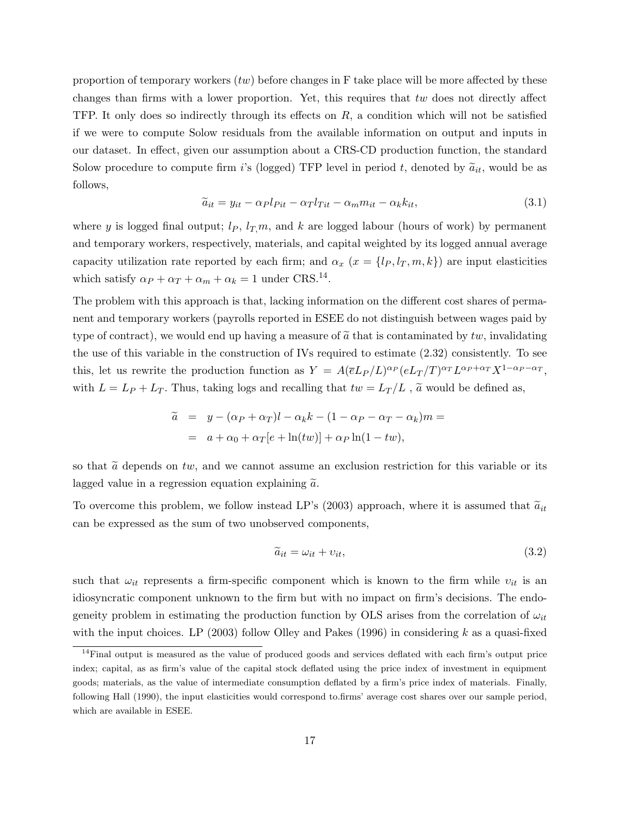proportion of temporary workers  $(tw)$  before changes in F take place will be more affected by these changes than firms with a lower proportion. Yet, this requires that tw does not directly affect TFP. It only does so indirectly through its effects on  $R$ , a condition which will not be satisfied if we were to compute Solow residuals from the available information on output and inputs in our dataset. In effect, given our assumption about a CRS-CD production function, the standard Solow procedure to compute firm i's (logged) TFP level in period t, denoted by  $\tilde{a}_{it}$ , would be as follows,

$$
\widetilde{a}_{it} = y_{it} - \alpha_P l_{Pit} - \alpha_T l_{Tit} - \alpha_m m_{it} - \alpha_k k_{it},\tag{3.1}
$$

where y is logged final output;  $l_P$ ,  $l_T,m$ , and k are logged labour (hours of work) by permanent and temporary workers, respectively, materials, and capital weighted by its logged annual average capacity utilization rate reported by each firm; and  $\alpha_x$  ( $x = \{l_P, l_T, m, k\}$ ) are input elasticities which satisfy  $\alpha_P + \alpha_T + \alpha_m + \alpha_k = 1$  under CRS.<sup>14</sup>.

The problem with this approach is that, lacking information on the different cost shares of permanent and temporary workers (payrolls reported in ESEE do not distinguish between wages paid by type of contract), we would end up having a measure of  $\tilde{a}$  that is contaminated by tw, invalidating the use of this variable in the construction of IVs required to estimate (2.32) consistently. To see this, let us rewrite the production function as  $Y = A(\bar{e}L_P/L)^{\alpha_P}(eL_T/T)^{\alpha_T}L^{\alpha_P+\alpha_T}X^{1-\alpha_P-\alpha_T}$ , with  $L = L_P + L_T$ . Thus, taking logs and recalling that  $tw = L_T/L$ ,  $\tilde{a}$  would be defined as,

$$
\begin{aligned}\n\tilde{a} &= y - (\alpha_P + \alpha_T)l - \alpha_k k - (1 - \alpha_P - \alpha_T - \alpha_k)m = \\
&= a + \alpha_0 + \alpha_T[e + \ln(tw)] + \alpha_P \ln(1 - tw),\n\end{aligned}
$$

so that  $\tilde{a}$  depends on tw, and we cannot assume an exclusion restriction for this variable or its lagged value in a regression equation explaining  $\tilde{a}$ .

To overcome this problem, we follow instead LP's (2003) approach, where it is assumed that  $\tilde{a}_{it}$ can be expressed as the sum of two unobserved components,

$$
\widetilde{a}_{it} = \omega_{it} + v_{it},\tag{3.2}
$$

such that  $\omega_{it}$  represents a firm-specific component which is known to the firm while  $v_{it}$  is an idiosyncratic component unknown to the firm but with no impact on firm's decisions. The endogeneity problem in estimating the production function by OLS arises from the correlation of  $\omega_{it}$ with the input choices. LP (2003) follow Olley and Pakes (1996) in considering k as a quasi-fixed

<sup>&</sup>lt;sup>14</sup>Final output is measured as the value of produced goods and services deflated with each firm's output price index; capital, as as firm's value of the capital stock deflated using the price index of investment in equipment goods; materials, as the value of intermediate consumption deflated by a firm's price index of materials. Finally, following Hall (1990), the input elasticities would correspond to.firms' average cost shares over our sample period, which are available in ESEE.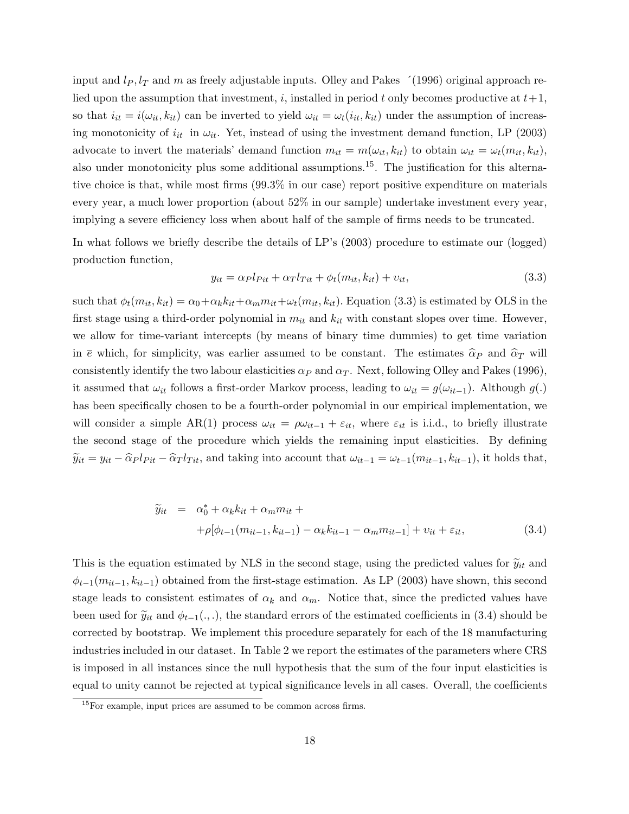input and  $l_P$ ,  $l_T$  and m as freely adjustable inputs. Olley and Pakes  $\hat{ }$  (1996) original approach relied upon the assumption that investment, i, installed in period t only becomes productive at  $t+1$ , so that  $i_{it} = i(\omega_{it}, k_{it})$  can be inverted to yield  $\omega_{it} = \omega_t(i_{it}, k_{it})$  under the assumption of increasing monotonicity of  $i_{it}$  in  $\omega_{it}$ . Yet, instead of using the investment demand function, LP (2003) advocate to invert the materials' demand function  $m_{it} = m(\omega_{it}, k_{it})$  to obtain  $\omega_{it} = \omega_t(m_{it}, k_{it}),$ also under monotonicity plus some additional assumptions.<sup>15</sup>. The justification for this alternative choice is that, while most firms (99.3% in our case) report positive expenditure on materials every year, a much lower proportion (about 52% in our sample) undertake investment every year, implying a severe efficiency loss when about half of the sample of firms needs to be truncated.

In what follows we briefly describe the details of LP's (2003) procedure to estimate our (logged) production function,

$$
y_{it} = \alpha_P l_{Pit} + \alpha_T l_{Tit} + \phi_t(m_{it}, k_{it}) + v_{it},\tag{3.3}
$$

such that  $\phi_t(m_{it}, k_{it}) = \alpha_0 + \alpha_k k_{it} + \alpha_m m_{it} + \omega_t(m_{it}, k_{it})$ . Equation (3.3) is estimated by OLS in the first stage using a third-order polynomial in  $m_{it}$  and  $k_{it}$  with constant slopes over time. However, we allow for time-variant intercepts (by means of binary time dummies) to get time variation in  $\bar{e}$  which, for simplicity, was earlier assumed to be constant. The estimates  $\hat{\alpha}_P$  and  $\hat{\alpha}_T$  will consistently identify the two labour elasticities  $\alpha_P$  and  $\alpha_T$ . Next, following Olley and Pakes (1996), it assumed that  $\omega_{it}$  follows a first-order Markov process, leading to  $\omega_{it} = g(\omega_{it-1})$ . Although  $g(.)$ has been specifically chosen to be a fourth-order polynomial in our empirical implementation, we will consider a simple AR(1) process  $\omega_{it} = \rho \omega_{it-1} + \varepsilon_{it}$ , where  $\varepsilon_{it}$  is i.i.d., to briefly illustrate the second stage of the procedure which yields the remaining input elasticities. By defining  $\widetilde{y}_{it} = y_{it} - \widehat{\alpha}_P l_{Pit} - \widehat{\alpha}_T l_{Tit}$ , and taking into account that  $\omega_{it-1} = \omega_{t-1}(m_{it-1}, k_{it-1})$ , it holds that,

$$
\tilde{y}_{it} = \alpha_0^* + \alpha_k k_{it} + \alpha_m m_{it} + \n+ \rho [\phi_{t-1}(m_{it-1}, k_{it-1}) - \alpha_k k_{it-1} - \alpha_m m_{it-1}] + v_{it} + \varepsilon_{it},
$$
\n(3.4)

This is the equation estimated by NLS in the second stage, using the predicted values for  $\tilde{y}_{it}$  and  $\phi_{t-1}(m_{it-1}, k_{it-1})$  obtained from the first-stage estimation. As LP (2003) have shown, this second stage leads to consistent estimates of  $\alpha_k$  and  $\alpha_m$ . Notice that, since the predicted values have been used for  $\tilde{y}_{it}$  and  $\phi_{t-1}(.,.)$ , the standard errors of the estimated coefficients in (3.4) should be corrected by bootstrap. We implement this procedure separately for each of the 18 manufacturing industries included in our dataset. In Table 2 we report the estimates of the parameters where CRS is imposed in all instances since the null hypothesis that the sum of the four input elasticities is equal to unity cannot be rejected at typical significance levels in all cases. Overall, the coefficients

<sup>&</sup>lt;sup>15</sup>For example, input prices are assumed to be common across firms.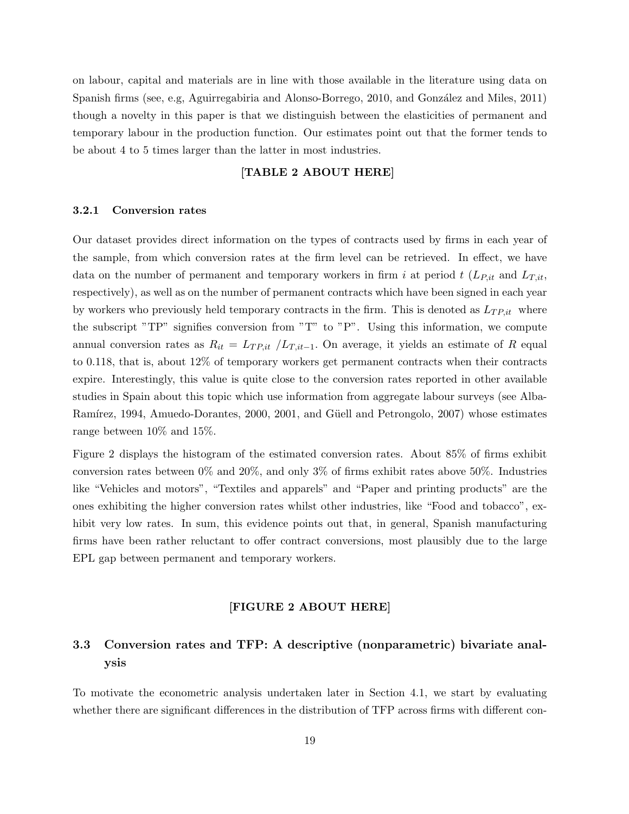on labour, capital and materials are in line with those available in the literature using data on Spanish firms (see, e.g, Aguirregabiria and Alonso-Borrego, 2010, and González and Miles, 2011) though a novelty in this paper is that we distinguish between the elasticities of permanent and temporary labour in the production function. Our estimates point out that the former tends to be about 4 to 5 times larger than the latter in most industries.

## [TABLE 2 ABOUT HERE]

#### 3.2.1 Conversion rates

Our dataset provides direct information on the types of contracts used by firms in each year of the sample, from which conversion rates at the firm level can be retrieved. In effect, we have data on the number of permanent and temporary workers in firm i at period t  $(L_{P,it}$  and  $L_{T,it}$ , respectively), as well as on the number of permanent contracts which have been signed in each year by workers who previously held temporary contracts in the firm. This is denoted as  $L_{TP,it}$  where the subscript "TP" signifies conversion from "T" to "P". Using this information, we compute annual conversion rates as  $R_{it} = L_{TP,it}/L_{T,it-1}$ . On average, it yields an estimate of R equal to 0.118, that is, about 12% of temporary workers get permanent contracts when their contracts expire. Interestingly, this value is quite close to the conversion rates reported in other available studies in Spain about this topic which use information from aggregate labour surveys (see Alba-Ramírez, 1994, Amuedo-Dorantes, 2000, 2001, and Güell and Petrongolo, 2007) whose estimates range between 10% and 15%.

Figure 2 displays the histogram of the estimated conversion rates. About 85% of firms exhibit conversion rates between  $0\%$  and  $20\%$ , and only  $3\%$  of firms exhibit rates above 50%. Industries like "Vehicles and motors", "Textiles and apparels" and "Paper and printing products" are the ones exhibiting the higher conversion rates whilst other industries, like "Food and tobacco", exhibit very low rates. In sum, this evidence points out that, in general, Spanish manufacturing firms have been rather reluctant to offer contract conversions, most plausibly due to the large EPL gap between permanent and temporary workers.

#### [FIGURE 2 ABOUT HERE]

# 3.3 Conversion rates and TFP: A descriptive (nonparametric) bivariate analysis

To motivate the econometric analysis undertaken later in Section 4.1, we start by evaluating whether there are significant differences in the distribution of TFP across firms with different con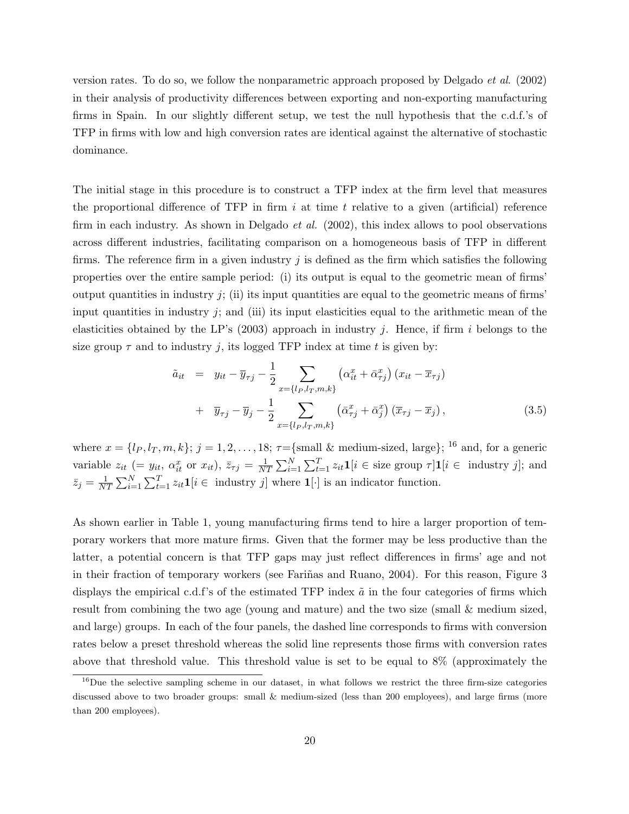version rates. To do so, we follow the nonparametric approach proposed by Delgado et al. (2002) in their analysis of productivity differences between exporting and non-exporting manufacturing firms in Spain. In our slightly different setup, we test the null hypothesis that the c.d.f.'s of TFP in firms with low and high conversion rates are identical against the alternative of stochastic dominance.

The initial stage in this procedure is to construct a TFP index at the firm level that measures the proportional difference of TFP in firm  $i$  at time  $t$  relative to a given (artificial) reference firm in each industry. As shown in Delgado *et al.*  $(2002)$ , this index allows to pool observations across different industries, facilitating comparison on a homogeneous basis of TFP in different firms. The reference firm in a given industry  $j$  is defined as the firm which satisfies the following properties over the entire sample period: (i) its output is equal to the geometric mean of firms' output quantities in industry  $j$ ; (ii) its input quantities are equal to the geometric means of firms' input quantities in industry  $j$ ; and (iii) its input elasticities equal to the arithmetic mean of the elasticities obtained by the LP's (2003) approach in industry j. Hence, if firm i belongs to the size group  $\tau$  and to industry j, its logged TFP index at time t is given by:

$$
\tilde{a}_{it} = y_{it} - \overline{y}_{\tau j} - \frac{1}{2} \sum_{x=\{l_P, l_T, m, k\}} \left( \alpha_{it}^x + \bar{\alpha}_{\tau j}^x \right) (x_{it} - \overline{x}_{\tau j}) \n+ \overline{y}_{\tau j} - \overline{y}_j - \frac{1}{2} \sum_{x=\{l_P, l_T, m, k\}} \left( \bar{\alpha}_{\tau j}^x + \bar{\alpha}_{j}^x \right) (\overline{x}_{\tau j} - \overline{x}_j),
$$
\n(3.5)

where  $x = \{l_P, l_T, m, k\}; j = 1, 2, \ldots, 18; \tau = \{\text{small } \& \text{ medium-sized, large}\};$  <sup>16</sup> and, for a generic variable  $z_{it}$  (=  $y_{it}$ ,  $\alpha_{it}^x$  or  $x_{it}$ ),  $\overline{z}_{\tau j}$  =  $\frac{1}{N!}$  $\frac{1}{NT} \sum_{i=1}^{N} \sum_{t=1}^{T} z_{it} \mathbf{1}[i \in \text{size group } \tau] \mathbf{1}[i \in \text{ industry } j];$  and  $\bar{z}_j = \frac{1}{N'}$  $\frac{1}{NT} \sum_{i=1}^{N} \sum_{t=1}^{T} z_{it} \mathbf{1}[i \in \text{ industry } j]$  where  $\mathbf{1}[\cdot]$  is an indicator function.

As shown earlier in Table 1, young manufacturing firms tend to hire a larger proportion of temporary workers that more mature firms. Given that the former may be less productive than the latter, a potential concern is that TFP gaps may just reflect differences in firms' age and not in their fraction of temporary workers (see Fariñas and Ruano, 2004). For this reason, Figure 3 displays the empirical c.d.f's of the estimated TFP index  $\tilde{a}$  in the four categories of firms which result from combining the two age (young and mature) and the two size (small & medium sized, and large) groups. In each of the four panels, the dashed line corresponds to firms with conversion rates below a preset threshold whereas the solid line represents those firms with conversion rates above that threshold value. This threshold value is set to be equal to 8% (approximately the

<sup>&</sup>lt;sup>16</sup>Due the selective sampling scheme in our dataset, in what follows we restrict the three firm-size categories discussed above to two broader groups: small & medium-sized (less than 200 employees), and large firms (more than 200 employees).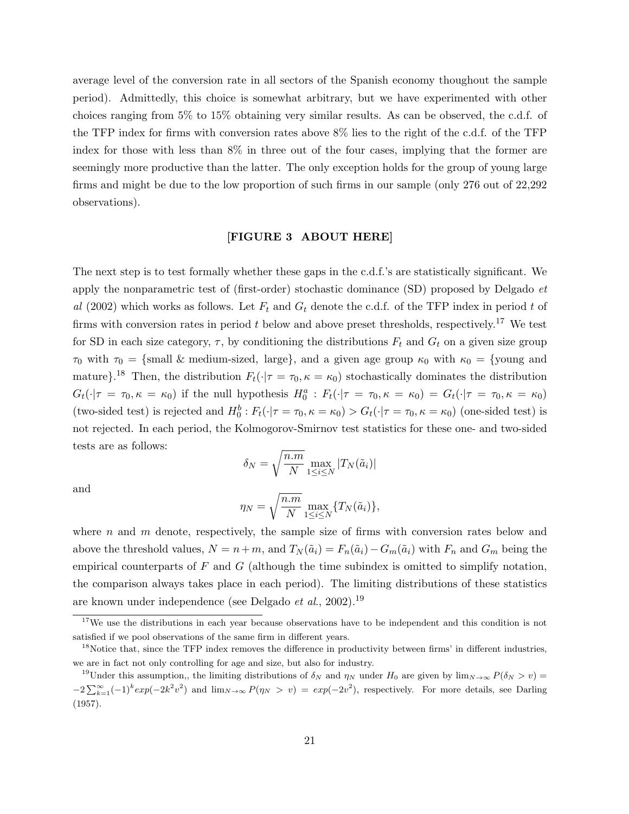average level of the conversion rate in all sectors of the Spanish economy thoughout the sample period). Admittedly, this choice is somewhat arbitrary, but we have experimented with other choices ranging from 5% to 15% obtaining very similar results. As can be observed, the c.d.f. of the TFP index for firms with conversion rates above 8% lies to the right of the c.d.f. of the TFP index for those with less than 8% in three out of the four cases, implying that the former are seemingly more productive than the latter. The only exception holds for the group of young large firms and might be due to the low proportion of such firms in our sample (only 276 out of 22,292 observations).

#### [FIGURE 3 ABOUT HERE]

The next step is to test formally whether these gaps in the c.d.f.'s are statistically significant. We apply the nonparametric test of (first-order) stochastic dominance  $(SD)$  proposed by Delgado  $et$ al (2002) which works as follows. Let  $F_t$  and  $G_t$  denote the c.d.f. of the TFP index in period t of firms with conversion rates in period  $t$  below and above preset thresholds, respectively.<sup>17</sup> We test for SD in each size category,  $\tau$ , by conditioning the distributions  $F_t$  and  $G_t$  on a given size group  $\tau_0$  with  $\tau_0 = \{\text{small } \& \text{ medium-sized}, \text{ large}\}, \text{ and a given age group } \kappa_0 \text{ with } \kappa_0 = \{\text{young and} \}$ mature}.<sup>18</sup> Then, the distribution  $F_t(\cdot|\tau=\tau_0,\kappa=\kappa_0)$  stochastically dominates the distribution  $G_t(\cdot | \tau = \tau_0, \kappa = \kappa_0)$  if the null hypothesis  $H_0^a : F_t(\cdot | \tau = \tau_0, \kappa = \kappa_0) = G_t(\cdot | \tau = \tau_0, \kappa = \kappa_0)$ (two-sided test) is rejected and  $H_0^b: F_t(\cdot | \tau = \tau_0, \kappa = \kappa_0) > G_t(\cdot | \tau = \tau_0, \kappa = \kappa_0)$  (one-sided test) is not rejected. In each period, the Kolmogorov-Smirnov test statistics for these one- and two-sided tests are as follows:

$$
\delta_N = \sqrt{\frac{n.m}{N}} \max_{1 \le i \le N} |T_N(\tilde{a}_i)|
$$

and

$$
\eta_N = \sqrt{\frac{n.m}{N}} \max_{1 \le i \le N} \{T_N(\tilde{a}_i)\},\
$$

where n and m denote, respectively, the sample size of firms with conversion rates below and above the threshold values,  $N = n+m$ , and  $T_N(\tilde{a}_i) = F_n(\tilde{a}_i) - G_m(\tilde{a}_i)$  with  $F_n$  and  $G_m$  being the empirical counterparts of  $F$  and  $G$  (although the time subindex is omitted to simplify notation, the comparison always takes place in each period). The limiting distributions of these statistics are known under independence (see Delgado et al., 2002).<sup>19</sup>

<sup>&</sup>lt;sup>17</sup>We use the distributions in each year because observations have to be independent and this condition is not satisfied if we pool observations of the same firm in different years.

<sup>&</sup>lt;sup>18</sup>Notice that, since the TFP index removes the difference in productivity between firms' in different industries, we are in fact not only controlling for age and size, but also for industry.

<sup>&</sup>lt;sup>19</sup>Under this assumption,, the limiting distributions of  $\delta_N$  and  $\eta_N$  under H<sub>0</sub> are given by  $\lim_{N\to\infty}P(\delta_N > v)$  $-2\sum_{k=1}^{\infty}(-1)^{k}exp(-2k^{2}v^{2})$  and  $\lim_{N\to\infty}P(\eta_{N} > v) = exp(-2v^{2})$ , respectively. For more details, see Darling (1957).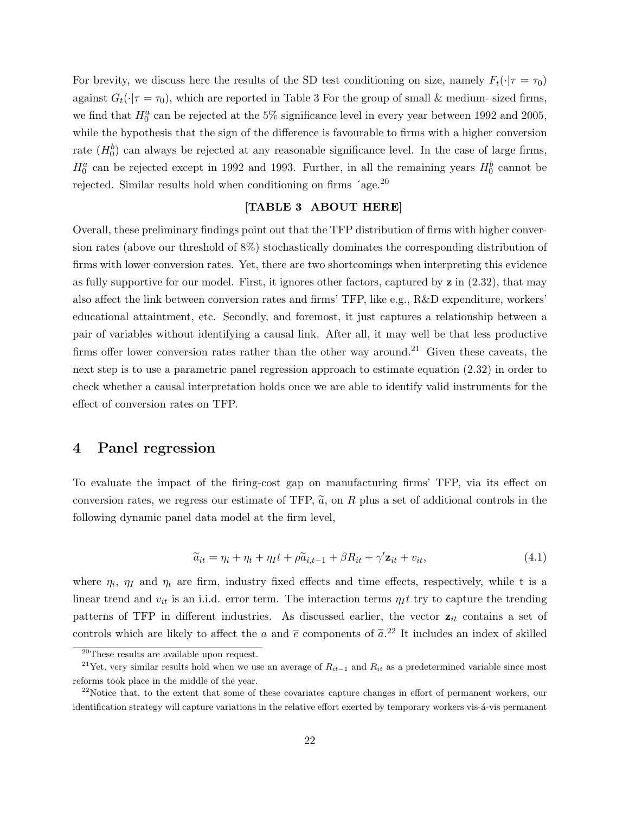For brevity, we discuss here the results of the SD test conditioning on size, namely  $F_t(\cdot|\tau=\tau_0)$ against  $G_t(\cdot|\tau=\tau_0)$ , which are reported in Table 3 For the group of small & medium- sized firms, we find that  $H_0^a$  can be rejected at the 5% significance level in every year between 1992 and 2005, while the hypothesis that the sign of the difference is favourable to firms with a higher conversion rate  $(H_0^b)$  can always be rejected at any reasonable significance level. In the case of large firms,  $H_0^a$  can be rejected except in 1992 and 1993. Further, in all the remaining years  $H_0^b$  cannot be rejected. Similar results hold when conditioning on firms 'age.<sup>20</sup>

#### [TABLE 3 ABOUT HERE]

Overall, these preliminary findings point out that the TFP distribution of firms with higher conversion rates (above our threshold of 8%) stochastically dominates the corresponding distribution of firms with lower conversion rates. Yet, there are two shortcomings when interpreting this evidence as fully supportive for our model. First, it ignores other factors, captured by  $z$  in  $(2.32)$ , that may also affect the link between conversion rates and firms' TFP, like e.g., R&D expenditure, workers' educational attaintment, etc. Secondly, and foremost, it just captures a relationship between a pair of variables without identifying a causal link. After all, it may well be that less productive firms offer lower conversion rates rather than the other way around.<sup>21</sup> Given these caveats, the next step is to use a parametric panel regression approach to estimate equation (2.32) in order to check whether a causal interpretation holds once we are able to identify valid instruments for the effect of conversion rates on TFP.

# 4 Panel regression

To evaluate the impact of the firing-cost gap on manufacturing firms' TFP, via its effect on conversion rates, we regress our estimate of TFP,  $\tilde{a}$ , on R plus a set of additional controls in the following dynamic panel data model at the firm level,

$$
\widetilde{a}_{it} = \eta_i + \eta_t + \eta_I t + \rho \widetilde{a}_{i,t-1} + \beta R_{it} + \gamma' \mathbf{z}_{it} + v_{it},\tag{4.1}
$$

where  $\eta_i$ ,  $\eta_I$  and  $\eta_t$  are firm, industry fixed effects and time effects, respectively, while t is a linear trend and  $v_{it}$  is an i.i.d. error term. The interaction terms  $\eta_I t$  try to capture the trending patterns of TFP in different industries. As discussed earlier, the vector  $z_{it}$  contains a set of controls which are likely to affect the a and  $\bar{e}$  components of  $\tilde{a}$ <sup>22</sup> It includes an index of skilled

<sup>20</sup>These results are available upon request.

<sup>&</sup>lt;sup>21</sup>Yet, very similar results hold when we use an average of  $R_{it-1}$  and  $R_{it}$  as a predetermined variable since most reforms took place in the middle of the year.

 $22$ Notice that, to the extent that some of these covariates capture changes in effort of permanent workers, our identification strategy will capture variations in the relative effort exerted by temporary workers vis-á-vis permanent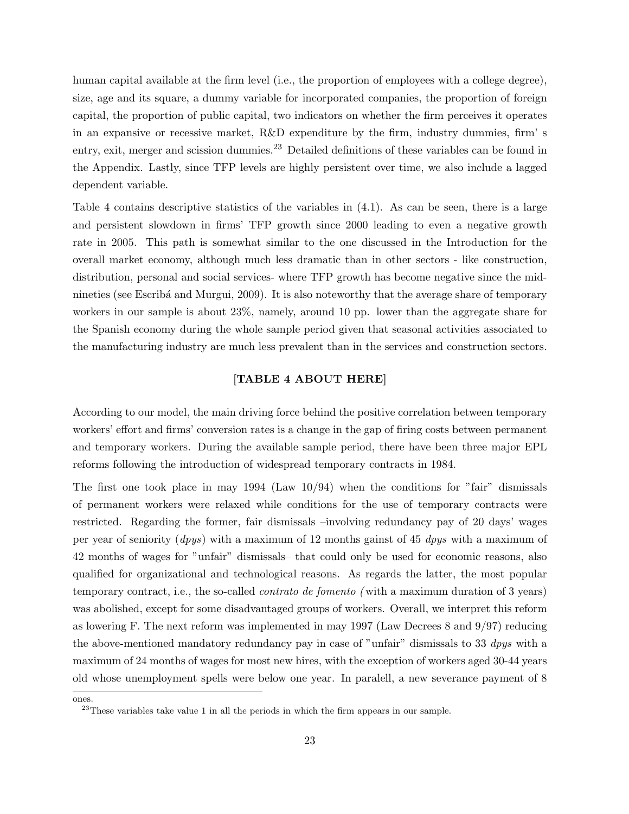human capital available at the firm level (i.e., the proportion of employees with a college degree), size, age and its square, a dummy variable for incorporated companies, the proportion of foreign capital, the proportion of public capital, two indicators on whether the firm perceives it operates in an expansive or recessive market, R&D expenditure by the firm, industry dummies, firm' s entry, exit, merger and scission dummies.<sup>23</sup> Detailed definitions of these variables can be found in the Appendix. Lastly, since TFP levels are highly persistent over time, we also include a lagged dependent variable.

Table 4 contains descriptive statistics of the variables in (4.1). As can be seen, there is a large and persistent slowdown in firms' TFP growth since 2000 leading to even a negative growth rate in 2005. This path is somewhat similar to the one discussed in the Introduction for the overall market economy, although much less dramatic than in other sectors - like construction, distribution, personal and social services- where TFP growth has become negative since the midnineties (see Escriba and Murgui, 2009). It is also noteworthy that the average share of temporary workers in our sample is about 23%, namely, around 10 pp. lower than the aggregate share for the Spanish economy during the whole sample period given that seasonal activities associated to the manufacturing industry are much less prevalent than in the services and construction sectors.

## [TABLE 4 ABOUT HERE]

According to our model, the main driving force behind the positive correlation between temporary workers' effort and firms' conversion rates is a change in the gap of firing costs between permanent and temporary workers. During the available sample period, there have been three major EPL reforms following the introduction of widespread temporary contracts in 1984.

The first one took place in may 1994 (Law  $10/94$ ) when the conditions for "fair" dismissals of permanent workers were relaxed while conditions for the use of temporary contracts were restricted. Regarding the former, fair dismissals –involving redundancy pay of 20 days' wages per year of seniority (dpys) with a maximum of 12 months gainst of 45 dpys with a maximum of 42 months of wages for "unfair" dismissals– that could only be used for economic reasons, also qualified for organizational and technological reasons. As regards the latter, the most popular temporary contract, i.e., the so-called contrato de fomento ( with a maximum duration of 3 years) was abolished, except for some disadvantaged groups of workers. Overall, we interpret this reform as lowering F. The next reform was implemented in may 1997 (Law Decrees 8 and 9/97) reducing the above-mentioned mandatory redundancy pay in case of "unfair" dismissals to 33 *dpys* with a maximum of 24 months of wages for most new hires, with the exception of workers aged 30-44 years old whose unemployment spells were below one year. In paralell, a new severance payment of 8

ones.

 $23$ These variables take value 1 in all the periods in which the firm appears in our sample.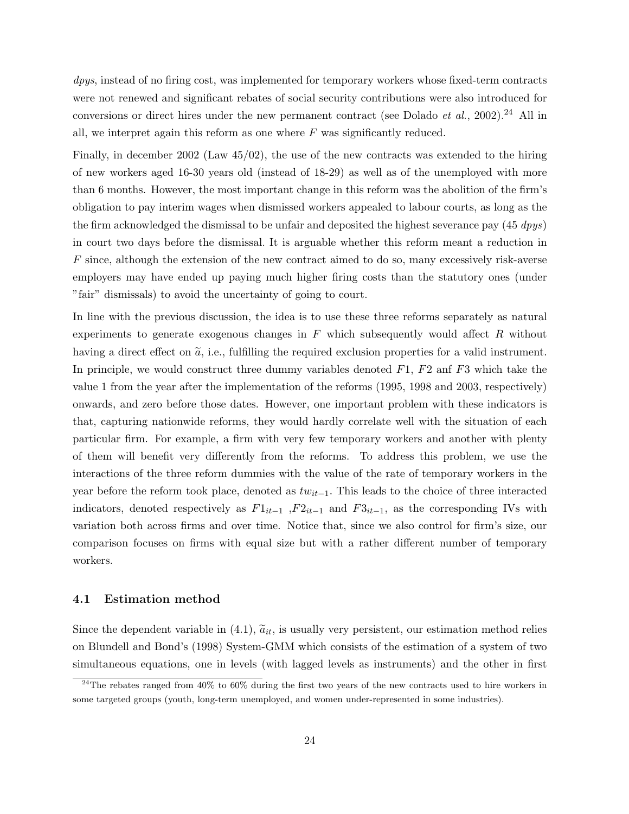dpys, instead of no firing cost, was implemented for temporary workers whose fixed-term contracts were not renewed and significant rebates of social security contributions were also introduced for conversions or direct hires under the new permanent contract (see Dolado *et al.*, 2002).<sup>24</sup> All in all, we interpret again this reform as one where  $F$  was significantly reduced.

Finally, in december 2002 (Law 45/02), the use of the new contracts was extended to the hiring of new workers aged 16-30 years old (instead of 18-29) as well as of the unemployed with more than 6 months. However, the most important change in this reform was the abolition of the firm's obligation to pay interim wages when dismissed workers appealed to labour courts, as long as the the firm acknowledged the dismissal to be unfair and deposited the highest severance pay  $(45 \; dpys)$ in court two days before the dismissal. It is arguable whether this reform meant a reduction in  $F$  since, although the extension of the new contract aimed to do so, many excessively risk-averse employers may have ended up paying much higher firing costs than the statutory ones (under "fair" dismissals) to avoid the uncertainty of going to court.

In line with the previous discussion, the idea is to use these three reforms separately as natural experiments to generate exogenous changes in  $F$  which subsequently would affect  $R$  without having a direct effect on  $\tilde{a}$ , i.e., fulfilling the required exclusion properties for a valid instrument. In principle, we would construct three dummy variables denoted  $F1$ ,  $F2$  and  $F3$  which take the value 1 from the year after the implementation of the reforms (1995, 1998 and 2003, respectively) onwards, and zero before those dates. However, one important problem with these indicators is that, capturing nationwide reforms, they would hardly correlate well with the situation of each particular firm. For example, a firm with very few temporary workers and another with plenty of them will benefit very differently from the reforms. To address this problem, we use the interactions of the three reform dummies with the value of the rate of temporary workers in the year before the reform took place, denoted as  $tw_{it-1}$ . This leads to the choice of three interacted indicators, denoted respectively as  $F1_{it-1}$ ,  $F2_{it-1}$  and  $F3_{it-1}$ , as the corresponding IVs with variation both across firms and over time. Notice that, since we also control for firm's size, our comparison focuses on firms with equal size but with a rather different number of temporary workers.

#### 4.1 Estimation method

Since the dependent variable in  $(4.1)$ ,  $\tilde{a}_{it}$ , is usually very persistent, our estimation method relies on Blundell and Bond's (1998) System-GMM which consists of the estimation of a system of two simultaneous equations, one in levels (with lagged levels as instruments) and the other in first

<sup>&</sup>lt;sup>24</sup>The rebates ranged from 40% to 60% during the first two years of the new contracts used to hire workers in some targeted groups (youth, long-term unemployed, and women under-represented in some industries).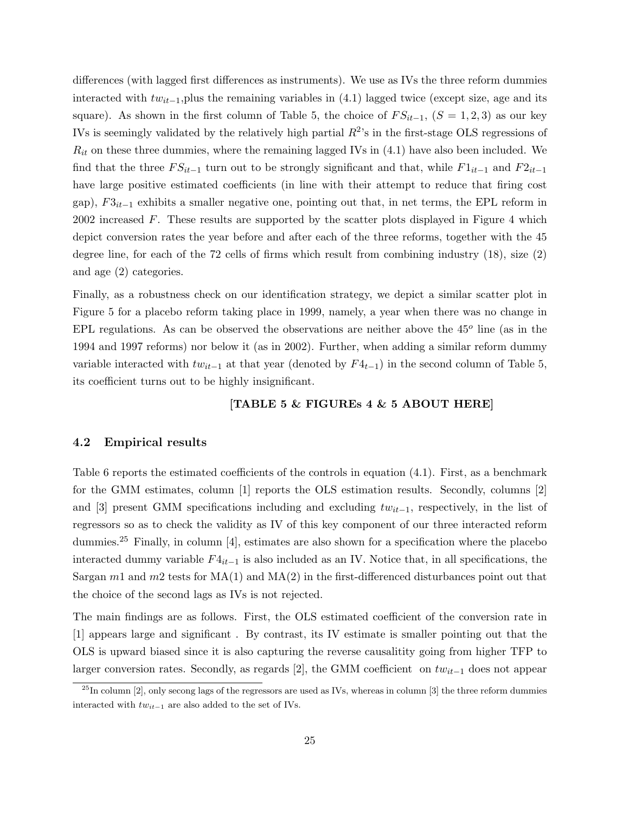differences (with lagged first differences as instruments). We use as IVs the three reform dummies interacted with  $tw_{it-1}$ , plus the remaining variables in (4.1) lagged twice (except size, age and its square). As shown in the first column of Table 5, the choice of  $FS_{it-1}$ ,  $(S = 1, 2, 3)$  as our key IVs is seemingly validated by the relatively high partial  $R^2$ 's in the first-stage OLS regressions of  $R_{it}$  on these three dummies, where the remaining lagged IVs in  $(4.1)$  have also been included. We find that the three  $FS_{it-1}$  turn out to be strongly significant and that, while  $F1_{it-1}$  and  $F2_{it-1}$ have large positive estimated coefficients (in line with their attempt to reduce that firing cost gap),  $F3_{it-1}$  exhibits a smaller negative one, pointing out that, in net terms, the EPL reform in 2002 increased  $F$ . These results are supported by the scatter plots displayed in Figure 4 which depict conversion rates the year before and after each of the three reforms, together with the 45 degree line, for each of the 72 cells of firms which result from combining industry (18), size (2) and age (2) categories.

Finally, as a robustness check on our identification strategy, we depict a similar scatter plot in Figure 5 for a placebo reform taking place in 1999, namely, a year when there was no change in EPL regulations. As can be observed the observations are neither above the  $45^{\circ}$  line (as in the 1994 and 1997 reforms) nor below it (as in 2002). Further, when adding a similar reform dummy variable interacted with  $tw_{it-1}$  at that year (denoted by  $F_{t-1}$ ) in the second column of Table 5, its coefficient turns out to be highly insignificant.

### [TABLE 5 & FIGUREs 4 & 5 ABOUT HERE]

## 4.2 Empirical results

Table 6 reports the estimated coefficients of the controls in equation  $(4.1)$ . First, as a benchmark for the GMM estimates, column [1] reports the OLS estimation results. Secondly, columns [2] and [3] present GMM specifications including and excluding  $tw_{it-1}$ , respectively, in the list of regressors so as to check the validity as IV of this key component of our three interacted reform dummies.<sup>25</sup> Finally, in column [4], estimates are also shown for a specification where the placebo interacted dummy variable  $F4_{it-1}$  is also included as an IV. Notice that, in all specifications, the Sargan  $m_1$  and  $m_2$  tests for  $MA(1)$  and  $MA(2)$  in the first-differenced disturbances point out that the choice of the second lags as IVs is not rejected.

The main findings are as follows. First, the OLS estimated coefficient of the conversion rate in [1] appears large and significant . By contrast, its IV estimate is smaller pointing out that the OLS is upward biased since it is also capturing the reverse causalitity going from higher TFP to larger conversion rates. Secondly, as regards [2], the GMM coefficient on twit−<sup>1</sup> does not appear

 $^{25}$ In column [2], only secong lags of the regressors are used as IVs, whereas in column [3] the three reform dummies interacted with  $tw_{it-1}$  are also added to the set of IVs.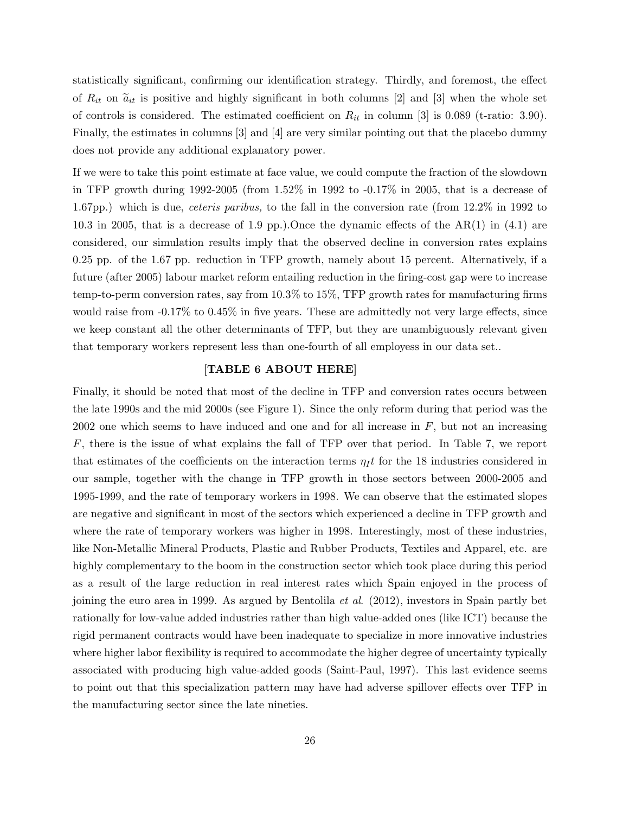statistically significant, confirming our identification strategy. Thirdly, and foremost, the effect of  $R_{it}$  on  $\tilde{a}_{it}$  is positive and highly significant in both columns [2] and [3] when the whole set of controls is considered. The estimated coefficient on  $R_{it}$  in column [3] is 0.089 (t-ratio: 3.90). Finally, the estimates in columns [3] and [4] are very similar pointing out that the placebo dummy does not provide any additional explanatory power.

If we were to take this point estimate at face value, we could compute the fraction of the slowdown in TFP growth during 1992-2005 (from 1.52% in 1992 to -0.17% in 2005, that is a decrease of 1.67pp.) which is due, *ceteris paribus*, to the fall in the conversion rate (from 12.2\% in 1992 to 10.3 in 2005, that is a decrease of 1.9 pp.).Once the dynamic effects of the  $AR(1)$  in (4.1) are considered, our simulation results imply that the observed decline in conversion rates explains 0.25 pp. of the 1.67 pp. reduction in TFP growth, namely about 15 percent. Alternatively, if a future (after 2005) labour market reform entailing reduction in the firing-cost gap were to increase temp-to-perm conversion rates, say from 10.3% to 15%, TFP growth rates for manufacturing firms would raise from  $-0.17\%$  to  $0.45\%$  in five years. These are admittedly not very large effects, since we keep constant all the other determinants of TFP, but they are unambiguously relevant given that temporary workers represent less than one-fourth of all employess in our data set..

### [TABLE 6 ABOUT HERE]

Finally, it should be noted that most of the decline in TFP and conversion rates occurs between the late 1990s and the mid 2000s (see Figure 1). Since the only reform during that period was the 2002 one which seems to have induced and one and for all increase in  $F$ , but not an increasing  $F$ , there is the issue of what explains the fall of TFP over that period. In Table 7, we report that estimates of the coefficients on the interaction terms  $\eta_I t$  for the 18 industries considered in our sample, together with the change in TFP growth in those sectors between 2000-2005 and 1995-1999, and the rate of temporary workers in 1998. We can observe that the estimated slopes are negative and significant in most of the sectors which experienced a decline in TFP growth and where the rate of temporary workers was higher in 1998. Interestingly, most of these industries, like Non-Metallic Mineral Products, Plastic and Rubber Products, Textiles and Apparel, etc. are highly complementary to the boom in the construction sector which took place during this period as a result of the large reduction in real interest rates which Spain enjoyed in the process of joining the euro area in 1999. As argued by Bentolila et al. (2012), investors in Spain partly bet rationally for low-value added industries rather than high value-added ones (like ICT) because the rigid permanent contracts would have been inadequate to specialize in more innovative industries where higher labor flexibility is required to accommodate the higher degree of uncertainty typically associated with producing high value-added goods (Saint-Paul, 1997). This last evidence seems to point out that this specialization pattern may have had adverse spillover effects over TFP in the manufacturing sector since the late nineties.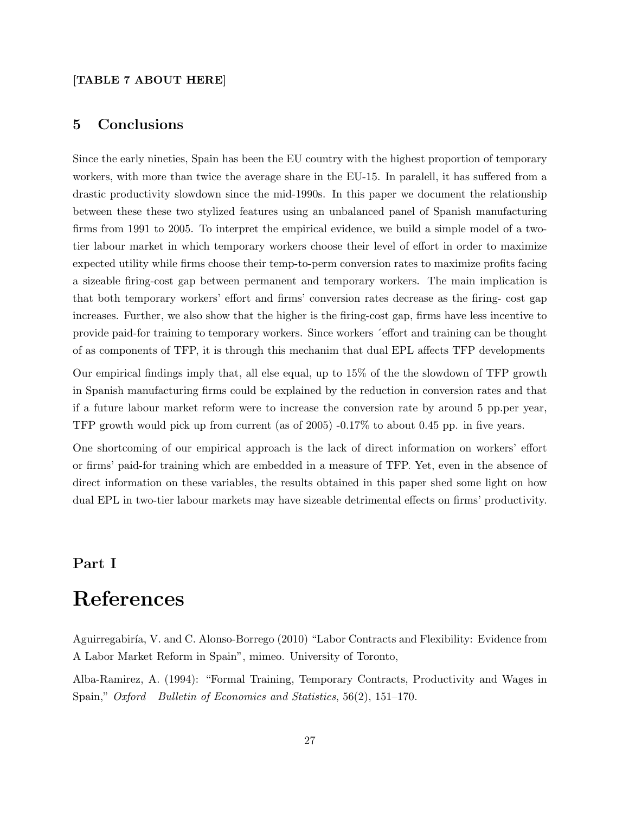### [TABLE 7 ABOUT HERE]

# 5 Conclusions

Since the early nineties, Spain has been the EU country with the highest proportion of temporary workers, with more than twice the average share in the EU-15. In paralell, it has suffered from a drastic productivity slowdown since the mid-1990s. In this paper we document the relationship between these these two stylized features using an unbalanced panel of Spanish manufacturing firms from 1991 to 2005. To interpret the empirical evidence, we build a simple model of a twotier labour market in which temporary workers choose their level of effort in order to maximize expected utility while firms choose their temp-to-perm conversion rates to maximize profits facing a sizeable firing-cost gap between permanent and temporary workers. The main implication is that both temporary workers' effort and firms' conversion rates decrease as the firing- cost gap increases. Further, we also show that the higher is the firing-cost gap, firms have less incentive to provide paid-for training to temporary workers. Since workers ´effort and training can be thought of as components of TFP, it is through this mechanim that dual EPL affects TFP developments

Our empirical findings imply that, all else equal, up to 15% of the the slowdown of TFP growth in Spanish manufacturing firms could be explained by the reduction in conversion rates and that if a future labour market reform were to increase the conversion rate by around 5 pp.per year, TFP growth would pick up from current (as of 2005) -0.17% to about 0.45 pp. in five years.

One shortcoming of our empirical approach is the lack of direct information on workers' effort or firms' paid-for training which are embedded in a measure of TFP. Yet, even in the absence of direct information on these variables, the results obtained in this paper shed some light on how dual EPL in two-tier labour markets may have sizeable detrimental effects on firms' productivity.

# Part I

# References

Aguirregabiría, V. and C. Alonso-Borrego (2010) "Labor Contracts and Flexibility: Evidence from A Labor Market Reform in Spain", mimeo. University of Toronto,

Alba-Ramirez, A. (1994): "Formal Training, Temporary Contracts, Productivity and Wages in Spain," Oxford Bulletin of Economics and Statistics, 56(2), 151–170.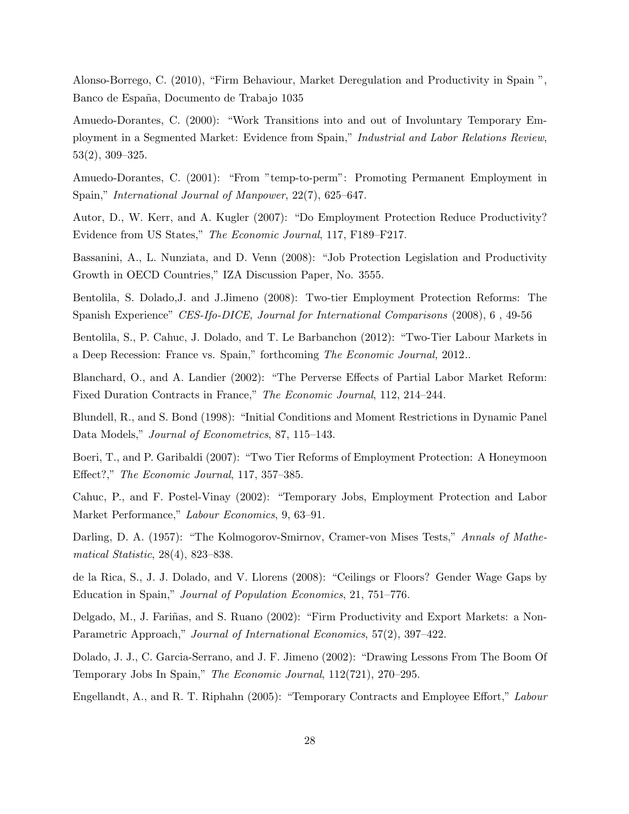Alonso-Borrego, C. (2010), "Firm Behaviour, Market Deregulation and Productivity in Spain ", Banco de España, Documento de Trabajo 1035

Amuedo-Dorantes, C. (2000): "Work Transitions into and out of Involuntary Temporary Employment in a Segmented Market: Evidence from Spain," Industrial and Labor Relations Review, 53(2), 309–325.

Amuedo-Dorantes, C. (2001): "From "temp-to-perm": Promoting Permanent Employment in Spain," International Journal of Manpower, 22(7), 625–647.

Autor, D., W. Kerr, and A. Kugler (2007): "Do Employment Protection Reduce Productivity? Evidence from US States," The Economic Journal, 117, F189–F217.

Bassanini, A., L. Nunziata, and D. Venn (2008): "Job Protection Legislation and Productivity Growth in OECD Countries," IZA Discussion Paper, No. 3555.

Bentolila, S. Dolado,J. and J.Jimeno (2008): Two-tier Employment Protection Reforms: The Spanish Experience" CES-Ifo-DICE, Journal for International Comparisons (2008), 6, 49-56

Bentolila, S., P. Cahuc, J. Dolado, and T. Le Barbanchon (2012): "Two-Tier Labour Markets in a Deep Recession: France vs. Spain," forthcoming The Economic Journal, 2012..

Blanchard, O., and A. Landier (2002): "The Perverse Effects of Partial Labor Market Reform: Fixed Duration Contracts in France," The Economic Journal, 112, 214–244.

Blundell, R., and S. Bond (1998): "Initial Conditions and Moment Restrictions in Dynamic Panel Data Models," *Journal of Econometrics*, 87, 115–143.

Boeri, T., and P. Garibaldi (2007): "Two Tier Reforms of Employment Protection: A Honeymoon Effect?," The Economic Journal, 117, 357–385.

Cahuc, P., and F. Postel-Vinay (2002): "Temporary Jobs, Employment Protection and Labor Market Performance," Labour Economics, 9, 63–91.

Darling, D. A. (1957): "The Kolmogorov-Smirnov, Cramer-von Mises Tests," Annals of Mathematical Statistic, 28(4), 823–838.

de la Rica, S., J. J. Dolado, and V. Llorens (2008): "Ceilings or Floors? Gender Wage Gaps by Education in Spain," Journal of Population Economics, 21, 751–776.

Delgado, M., J. Fariñas, and S. Ruano (2002): "Firm Productivity and Export Markets: a Non-Parametric Approach," Journal of International Economics, 57(2), 397–422.

Dolado, J. J., C. Garcia-Serrano, and J. F. Jimeno (2002): "Drawing Lessons From The Boom Of Temporary Jobs In Spain," The Economic Journal, 112(721), 270–295.

Engellandt, A., and R. T. Riphahn (2005): "Temporary Contracts and Employee Effort," Labour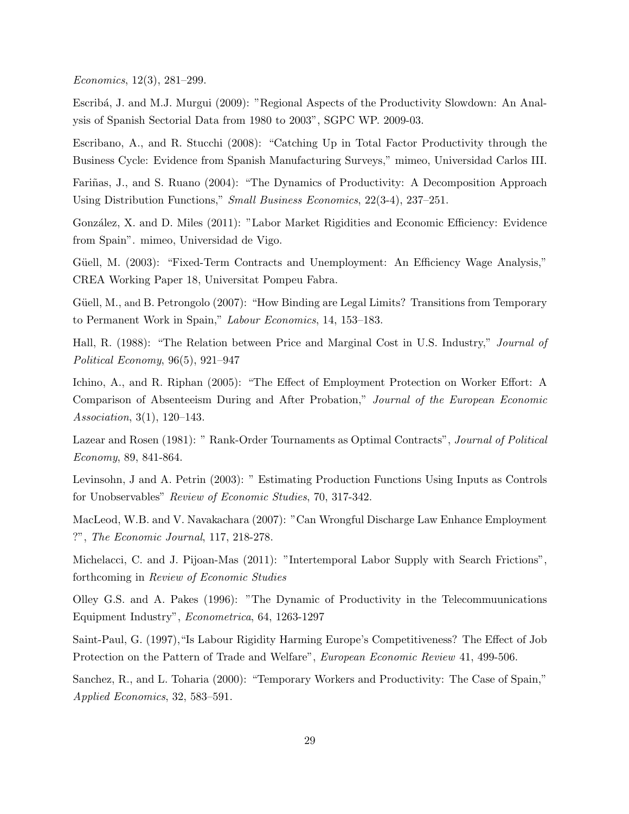Economics, 12(3), 281–299.

Escrib´a, J. and M.J. Murgui (2009): "Regional Aspects of the Productivity Slowdown: An Analysis of Spanish Sectorial Data from 1980 to 2003", SGPC WP. 2009-03.

Escribano, A., and R. Stucchi (2008): "Catching Up in Total Factor Productivity through the Business Cycle: Evidence from Spanish Manufacturing Surveys," mimeo, Universidad Carlos III.

Fariñas, J., and S. Ruano (2004): "The Dynamics of Productivity: A Decomposition Approach Using Distribution Functions," Small Business Economics, 22(3-4), 237–251.

González, X. and D. Miles (2011): "Labor Market Rigidities and Economic Efficiency: Evidence from Spain". mimeo, Universidad de Vigo.

Güell, M. (2003): "Fixed-Term Contracts and Unemployment: An Efficiency Wage Analysis," CREA Working Paper 18, Universitat Pompeu Fabra.

Güell, M., and B. Petrongolo (2007): "How Binding are Legal Limits? Transitions from Temporary to Permanent Work in Spain," Labour Economics, 14, 153–183.

Hall, R. (1988): "The Relation between Price and Marginal Cost in U.S. Industry," *Journal of* Political Economy, 96(5), 921–947

Ichino, A., and R. Riphan (2005): "The Effect of Employment Protection on Worker Effort: A Comparison of Absenteeism During and After Probation," Journal of the European Economic Association, 3(1), 120–143.

Lazear and Rosen (1981): " Rank-Order Tournaments as Optimal Contracts", Journal of Political Economy, 89, 841-864.

Levinsohn, J and A. Petrin (2003): " Estimating Production Functions Using Inputs as Controls for Unobservables" Review of Economic Studies, 70, 317-342.

MacLeod, W.B. and V. Navakachara (2007): "Can Wrongful Discharge Law Enhance Employment ?", The Economic Journal, 117, 218-278.

Michelacci, C. and J. Pijoan-Mas (2011): "Intertemporal Labor Supply with Search Frictions", forthcoming in Review of Economic Studies

Olley G.S. and A. Pakes (1996): "The Dynamic of Productivity in the Telecommuunications Equipment Industry", Econometrica, 64, 1263-1297

Saint-Paul, G. (1997),"Is Labour Rigidity Harming Europe's Competitiveness? The Effect of Job Protection on the Pattern of Trade and Welfare", European Economic Review 41, 499-506.

Sanchez, R., and L. Toharia (2000): "Temporary Workers and Productivity: The Case of Spain," Applied Economics, 32, 583–591.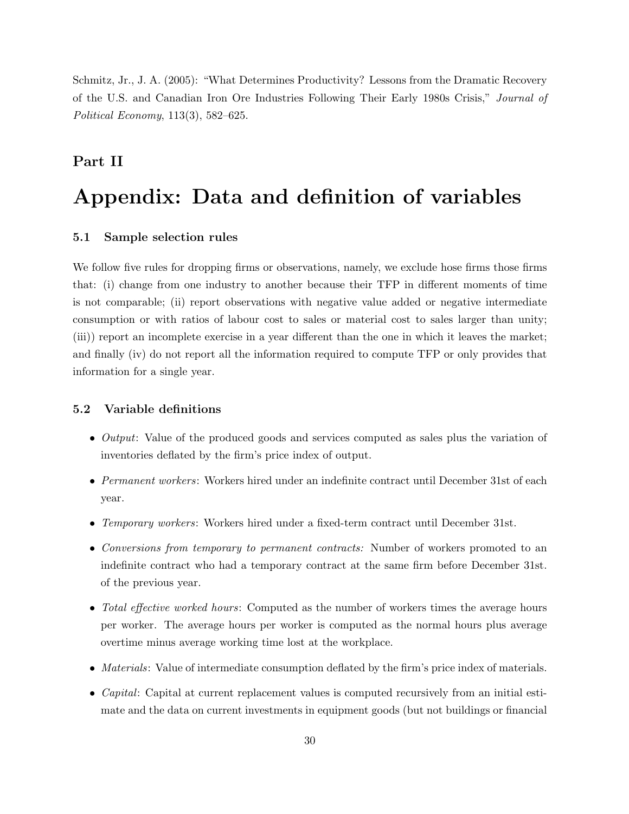Schmitz, Jr., J. A. (2005): "What Determines Productivity? Lessons from the Dramatic Recovery of the U.S. and Canadian Iron Ore Industries Following Their Early 1980s Crisis," Journal of Political Economy, 113(3), 582–625.

# Part II

# Appendix: Data and definition of variables

## 5.1 Sample selection rules

We follow five rules for dropping firms or observations, namely, we exclude hose firms those firms that: (i) change from one industry to another because their TFP in different moments of time is not comparable; (ii) report observations with negative value added or negative intermediate consumption or with ratios of labour cost to sales or material cost to sales larger than unity; (iii)) report an incomplete exercise in a year different than the one in which it leaves the market; and finally (iv) do not report all the information required to compute TFP or only provides that information for a single year.

## 5.2 Variable definitions

- *Output*: Value of the produced goods and services computed as sales plus the variation of inventories deflated by the firm's price index of output.
- Permanent workers: Workers hired under an indefinite contract until December 31st of each year.
- Temporary workers: Workers hired under a fixed-term contract until December 31st.
- Conversions from temporary to permanent contracts: Number of workers promoted to an indefinite contract who had a temporary contract at the same firm before December 31st. of the previous year.
- Total effective worked hours: Computed as the number of workers times the average hours per worker. The average hours per worker is computed as the normal hours plus average overtime minus average working time lost at the workplace.
- Materials: Value of intermediate consumption deflated by the firm's price index of materials.
- Capital: Capital at current replacement values is computed recursively from an initial estimate and the data on current investments in equipment goods (but not buildings or financial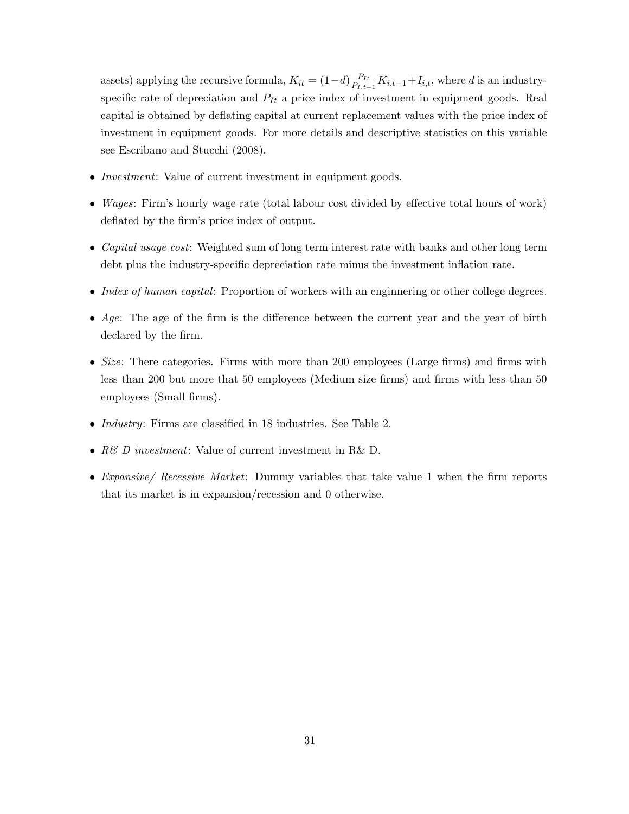assets) applying the recursive formula,  $K_{it} = (1-d) \frac{P_{It}}{P_{t}}$  $\frac{P_{It}}{P_{I,t-1}}K_{i,t-1}+I_{i,t}$ , where d is an industryspecific rate of depreciation and  $P_{It}$  a price index of investment in equipment goods. Real capital is obtained by deflating capital at current replacement values with the price index of investment in equipment goods. For more details and descriptive statistics on this variable see Escribano and Stucchi (2008).

- *Investment*: Value of current investment in equipment goods.
- Wages: Firm's hourly wage rate (total labour cost divided by effective total hours of work) deflated by the firm's price index of output.
- Capital usage cost: Weighted sum of long term interest rate with banks and other long term debt plus the industry-specific depreciation rate minus the investment inflation rate.
- Index of human capital: Proportion of workers with an engineering or other college degrees.
- Age: The age of the firm is the difference between the current year and the year of birth declared by the firm.
- Size: There categories. Firms with more than 200 employees (Large firms) and firms with less than 200 but more that 50 employees (Medium size firms) and firms with less than 50 employees (Small firms).
- Industry: Firms are classified in 18 industries. See Table 2.
- R& D investment: Value of current investment in R& D.
- Expansive/ Recessive Market: Dummy variables that take value 1 when the firm reports that its market is in expansion/recession and 0 otherwise.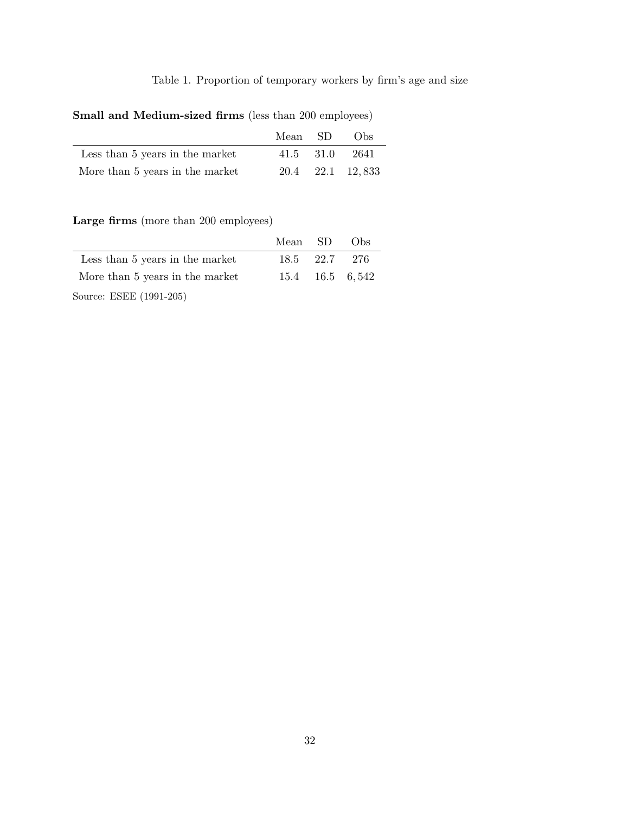# Table 1. Proportion of temporary workers by firm's age and size

Small and Medium-sized firms (less than 200 employees)

|                                 | Mean SD | $\sim$ Obs       |
|---------------------------------|---------|------------------|
| Less than 5 years in the market |         | 41.5 31.0 2641   |
| More than 5 years in the market |         | 20.4 22.1 12.833 |

Large firms (more than 200 employees)

|                                 | Mean SD Obs |               |                 |
|---------------------------------|-------------|---------------|-----------------|
| Less than 5 years in the market |             | 18.5 22.7 276 |                 |
| More than 5 years in the market |             |               | 15.4 16.5 6,542 |
| Source: ESEE (1991-205)         |             |               |                 |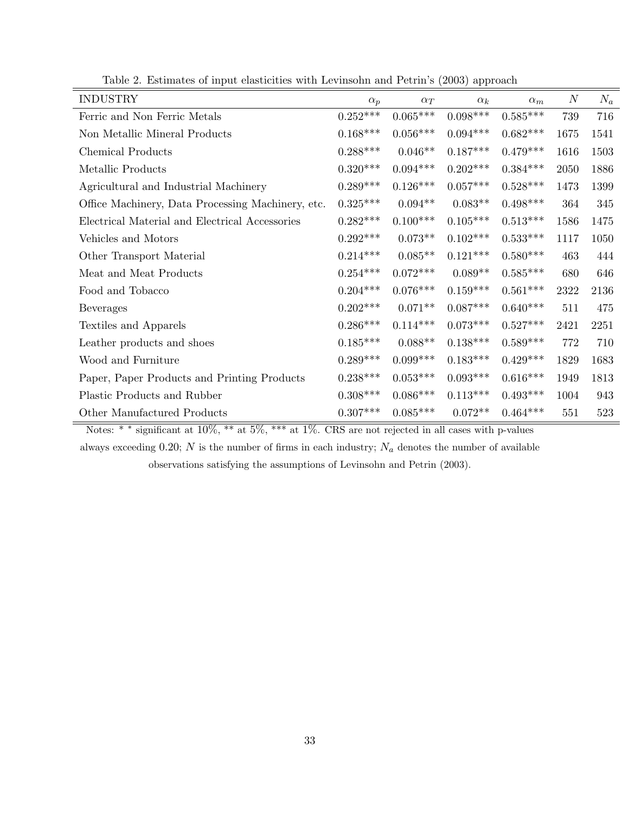| $\mathbf{r}$<br><b>INDUSTRY</b>                   | $\alpha_p$      | $\alpha_T$ | $T$ $T$<br>$\alpha_k$ | $\alpha_m$             | $\boldsymbol{N}$ | $N_a$ |
|---------------------------------------------------|-----------------|------------|-----------------------|------------------------|------------------|-------|
| Ferric and Non Ferric Metals                      | $0.252^{***}\,$ | $0.065***$ | $0.098***$            | $0.585***$             | 739              | 716   |
| Non Metallic Mineral Products                     | $0.168***$      | $0.056***$ | $0.094***$            | $0.682***$             | 1675             | 1541  |
| <b>Chemical Products</b>                          | $0.288***$      | $0.046**$  | $0.187***$            | $0.479***$             | 1616             | 1503  |
| Metallic Products                                 | $0.320***$      | $0.094***$ | $0.202***$            | $0.384***$             | 2050             | 1886  |
| Agricultural and Industrial Machinery             | $0.289***$      | $0.126***$ | $0.057***$            | $0.528***$             | 1473             | 1399  |
| Office Machinery, Data Processing Machinery, etc. | $0.325***$      | $0.094**$  | $0.083**$             | $0.498***$             | 364              | 345   |
| Electrical Material and Electrical Accessories    | $0.282***$      | $0.100***$ | $0.105***$            | $0.513***$             | 1586             | 1475  |
| Vehicles and Motors                               | $0.292***$      | $0.073**$  | $0.102***$            | $0.533***$             | 1117             | 1050  |
| Other Transport Material                          | $0.214***$      | $0.085**$  | $0.121***$            | $0.580***$             | 463              | 444   |
| Meat and Meat Products                            | $0.254***$      | $0.072***$ | $0.089**$             | $0.585***$             | 680              | 646   |
| Food and Tobacco                                  | $0.204***$      | $0.076***$ | $0.159***$            | $0.561***$             | 2322             | 2136  |
| Beverages                                         | $0.202***$      | $0.071**$  | $0.087***$            | $0.640***$             | 511              | 475   |
| Textiles and Apparels                             | $0.286***$      | $0.114***$ | $0.073***$            | $0.527***$             | 2421             | 2251  |
| Leather products and shoes                        | $0.185***$      | $0.088**$  | $0.138***$            | $0.589***$             | 772              | 710   |
| Wood and Furniture                                | $0.289***$      | $0.099***$ | $0.183***$            | $0.429***$             | 1829             | 1683  |
| Paper, Paper Products and Printing Products       | $0.238***$      | $0.053***$ | $0.093***$            | $0.616^{\ast\ast\ast}$ | 1949             | 1813  |
| Plastic Products and Rubber                       | $0.308^{***}\,$ | $0.086***$ | $0.113***$            | $0.493***$             | 1004             | 943   |
| Other Manufactured Products                       | $0.307***$      | $0.085***$ | $0.072**$             | $0.464***$             | 551              | 523   |

Table 2. Estimates of input elasticities with Levinsohn and Petrin's (2003) approach

Notes: \* \* significant at 10\%, \* \* at 5\%, \* \* at 1\%. CRS are not rejected in all cases with p-values

always exceeding 0.20; N is the number of firms in each industry;  $N_a$  denotes the number of available observations satisfying the assumptions of Levinsohn and Petrin (2003).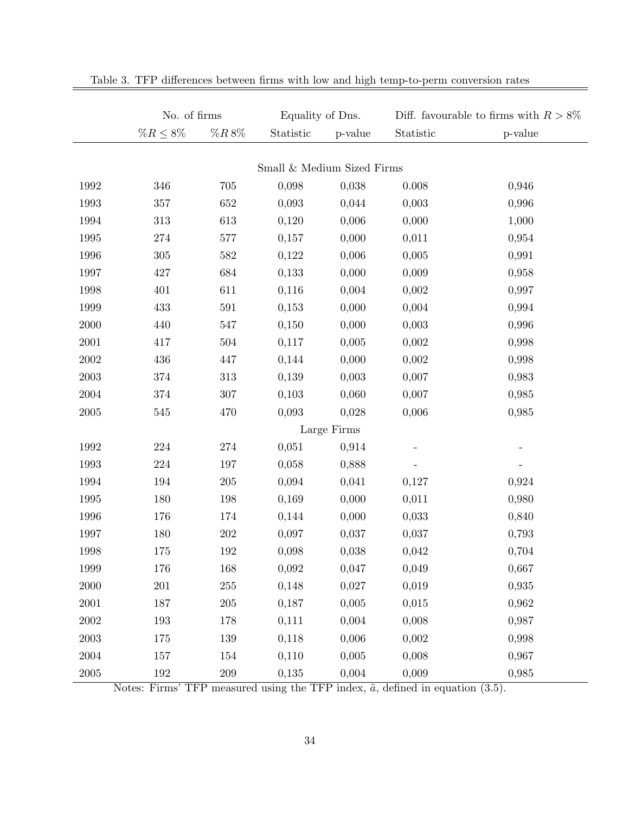|            | No. of firms   |            |                            | Equality of Dns.<br>Diff. favourable to firms with $R > 8\%$ |           |         |
|------------|----------------|------------|----------------------------|--------------------------------------------------------------|-----------|---------|
|            | $\%R \leq 8\%$ | $\%R\,8\%$ | Statistic                  | p-value                                                      | Statistic | p-value |
|            |                |            |                            |                                                              |           |         |
|            |                |            | Small & Medium Sized Firms |                                                              |           |         |
| 1992       | 346            | 705        | 0,098                      | 0,038                                                        | 0.008     | 0,946   |
| 1993       | 357            | 652        | 0,093                      | 0,044                                                        | 0,003     | 0,996   |
| 1994       | 313            | 613        | 0,120                      | 0,006                                                        | 0,000     | 1,000   |
| 1995       | 274            | 577        | 0,157                      | 0,000                                                        | 0,011     | 0,954   |
| 1996       | 305            | 582        | 0,122                      | 0,006                                                        | 0,005     | 0,991   |
| 1997       | 427            | 684        | 0,133                      | 0,000                                                        | 0,009     | 0,958   |
| 1998       | 401            | 611        | 0,116                      | 0,004                                                        | 0,002     | 0,997   |
| 1999       | 433            | $591\,$    | 0,153                      | 0,000                                                        | 0,004     | 0,994   |
| 2000       | 440            | 547        | 0,150                      | 0,000                                                        | 0,003     | 0,996   |
| 2001       | 417            | 504        | 0,117                      | 0,005                                                        | 0,002     | 0,998   |
| 2002       | 436            | 447        | 0,144                      | 0,000                                                        | 0,002     | 0,998   |
| $\,2003\,$ | 374            | 313        | 0,139                      | 0,003                                                        | 0,007     | 0,983   |
| 2004       | 374            | 307        | 0,103                      | 0,060                                                        | 0,007     | 0,985   |
| $\,2005\,$ | 545            | 470        | 0,093                      | 0,028                                                        | 0,006     | 0,985   |
|            |                |            |                            | Large Firms                                                  |           |         |
| 1992       | $224\,$        | 274        | 0,051                      | 0,914                                                        |           |         |
| 1993       | $224\,$        | 197        | 0,058                      | 0,888                                                        |           |         |
| 1994       | 194            | 205        | 0,094                      | 0,041                                                        | 0,127     | 0,924   |
| 1995       | 180            | 198        | 0,169                      | 0,000                                                        | 0,011     | 0,980   |
| 1996       | 176            | 174        | 0,144                      | 0,000                                                        | 0,033     | 0,840   |
| 1997       | 180            | 202        | 0,097                      | 0,037                                                        | 0,037     | 0,793   |
| 1998       | 175            | 192        | 0,098                      | 0,038                                                        | 0,042     | 0,704   |
| 1999       | 176            | 168        | 0,092                      | 0,047                                                        | 0,049     | 0,667   |
| $2000\,$   | $201\,$        | $255\,$    | 0,148                      | 0,027                                                        | 0,019     | 0,935   |
| 2001       | 187            | $205\,$    | 0,187                      | 0,005                                                        | 0,015     | 0,962   |
| $2002\,$   | 193            | 178        | 0,111                      | 0,004                                                        | 0,008     | 0,987   |
| $\,2003\,$ | 175            | 139        | 0,118                      | 0,006                                                        | 0,002     | 0,998   |
| $\,2004\,$ | 157            | 154        | 0,110                      | 0,005                                                        | 0,008     | 0,967   |
| $2005\,$   | 192            | $209\,$    | 0,135                      | 0,004                                                        | 0,009     | 0,985   |

|  |  |  |  |  | Table 3. TFP differences between firms with low and high temp-to-perm conversion rates |
|--|--|--|--|--|----------------------------------------------------------------------------------------|
|  |  |  |  |  |                                                                                        |

Notes: Firms' TFP measured using the TFP index,  $\tilde{a}$ , defined in equation (3.5).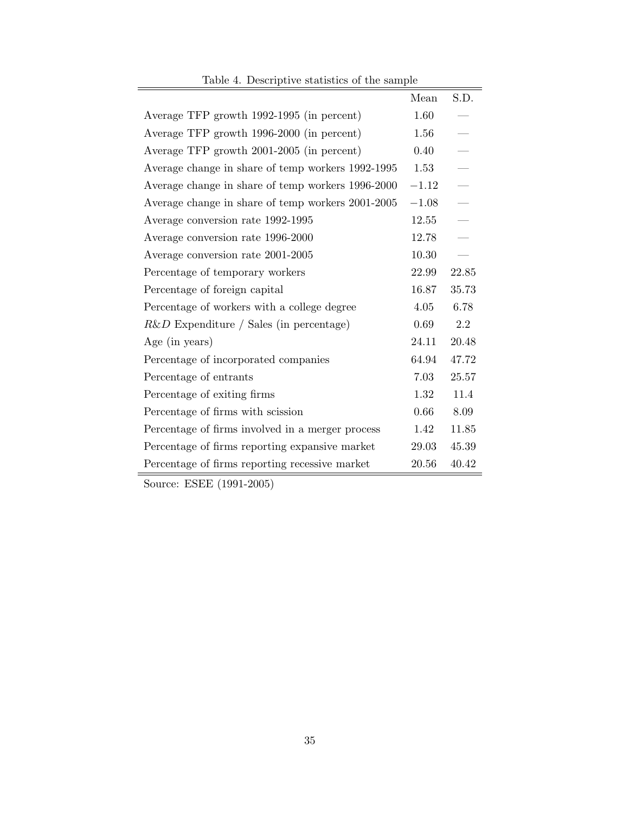| Lable 4. Descriptive statistics of the sample.    |         |               |
|---------------------------------------------------|---------|---------------|
|                                                   | Mean    | S.D.          |
| Average TFP growth 1992-1995 (in percent)         | 1.60    |               |
| Average TFP growth 1996-2000 (in percent)         | 1.56    |               |
| Average TFP growth 2001-2005 (in percent)         | 0.40    |               |
| Average change in share of temp workers 1992-1995 | 1.53    |               |
| Average change in share of temp workers 1996-2000 | $-1.12$ |               |
| Average change in share of temp workers 2001-2005 | $-1.08$ |               |
| Average conversion rate 1992-1995                 | 12.55   | $\frac{1}{1}$ |
| Average conversion rate 1996-2000                 | 12.78   |               |
| Average conversion rate 2001-2005                 | 10.30   |               |
| Percentage of temporary workers                   | 22.99   | 22.85         |
| Percentage of foreign capital                     | 16.87   | 35.73         |
| Percentage of workers with a college degree       | 4.05    | 6.78          |
| $R\&D$ Expenditure / Sales (in percentage)        | 0.69    | 2.2           |
| Age (in years)                                    | 24.11   | 20.48         |
| Percentage of incorporated companies              | 64.94   | 47.72         |
| Percentage of entrants                            | 7.03    | 25.57         |
| Percentage of exiting firms                       | 1.32    | 11.4          |
| Percentage of firms with scission                 | 0.66    | 8.09          |
| Percentage of firms involved in a merger process  | 1.42    | 11.85         |
| Percentage of firms reporting expansive market    | 29.03   | 45.39         |
| Percentage of firms reporting recessive market    | 20.56   | 40.42         |

Table 4. Descriptive statistics of the sample

Source: ESEE (1991-2005)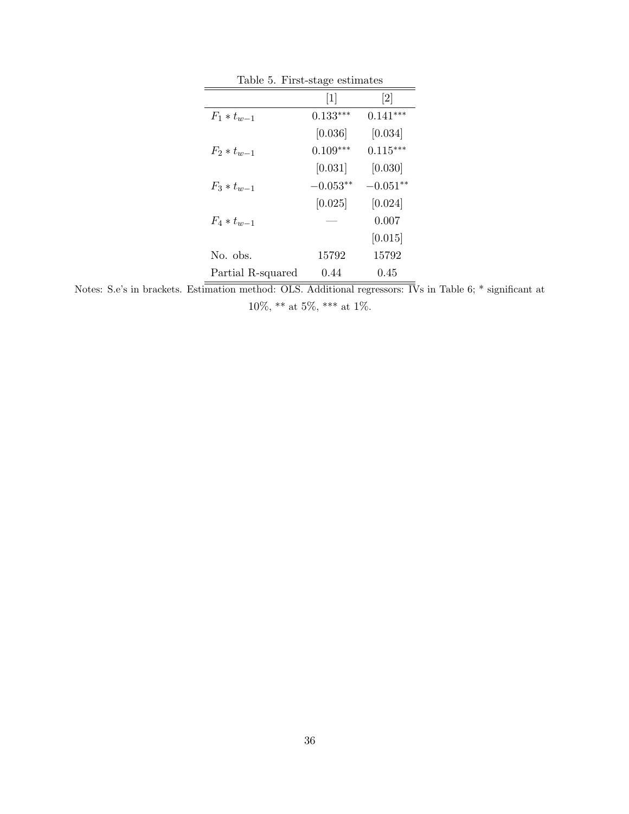| Table 5. First-stage estimates |            |                              |  |  |  |
|--------------------------------|------------|------------------------------|--|--|--|
|                                | $[1]$      | $\left\lceil 2 \right\rceil$ |  |  |  |
| $F_1 * t_{w-1}$                | $0.133***$ | $0.141***$                   |  |  |  |
|                                | [0.036]    | [0.034]                      |  |  |  |
| $F_2 * t_{w-1}$                | $0.109***$ | $0.115***$                   |  |  |  |
|                                | [0.031]    | [0.030]                      |  |  |  |
| $F_3 * t_{w-1}$                | $-0.053**$ | $-0.051**$                   |  |  |  |
|                                | [0.025]    | [0.024]                      |  |  |  |
| $F_4 * t_{w-1}$                |            | 0.007                        |  |  |  |
|                                |            | [0.015]                      |  |  |  |
| No. obs.                       | 15792      | 15792                        |  |  |  |
| Partial R-squared              | 0.44       | 0.45                         |  |  |  |

Notes: S.e's in brackets. Estimation method: OLS. Additional regressors: IVs in Table 6; \* significant at 10%, \*\* at 5%, \*\*\* at 1%.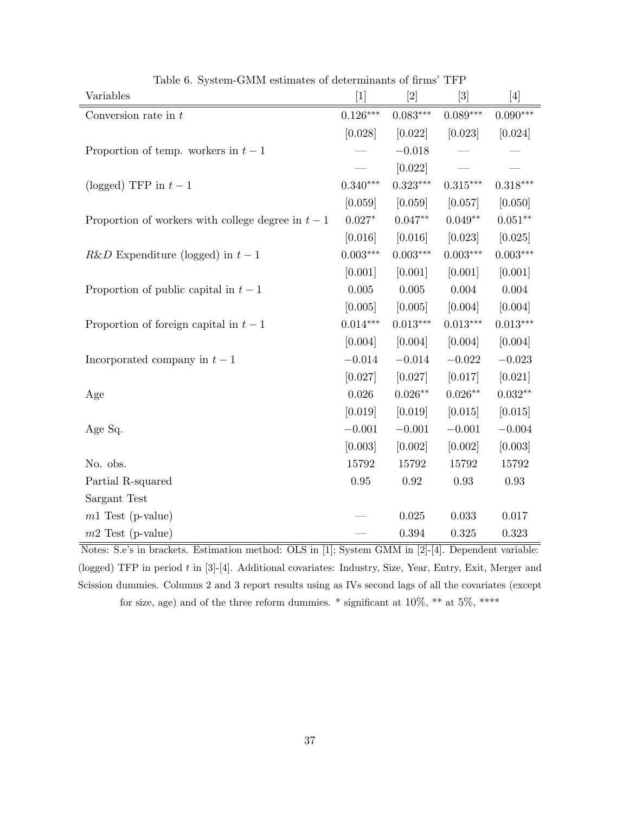| Variables                                          | $[1]$           |                 | $[3]$      | $[4]$      |
|----------------------------------------------------|-----------------|-----------------|------------|------------|
| Conversion rate in $t$                             | $0.126***$      | $0.083***$      | $0.089***$ | $0.090***$ |
|                                                    | [0.028]         | [0.022]         | [0.023]    | [0.024]    |
| Proportion of temp. workers in $t-1$               |                 | $-0.018$        |            |            |
|                                                    |                 | [0.022]         |            |            |
| (logged) TFP in $t-1$                              | $0.340***$      | $0.323***$      | $0.315***$ | $0.318***$ |
|                                                    | [0.059]         | [0.059]         | [0.057]    | [0.050]    |
| Proportion of workers with college degree in $t-1$ | $0.027*$        | $0.047**$       | $0.049**$  | $0.051**$  |
|                                                    | [0.016]         | [0.016]         | [0.023]    | [0.025]    |
| $R\&D$ Expenditure (logged) in $t-1$               | $0.003^{***}\,$ | $0.003^{***}\,$ | $0.003***$ | $0.003***$ |
|                                                    | [0.001]         | [0.001]         | [0.001]    | [0.001]    |
| Proportion of public capital in $t-1$              | 0.005           | $0.005\,$       | $0.004\,$  | 0.004      |
|                                                    | [0.005]         | [0.005]         | [0.004]    | [0.004]    |
| Proportion of foreign capital in $t-1$             | $0.014***$      | $0.013***$      | $0.013***$ | $0.013***$ |
|                                                    | [0.004]         | [0.004]         | [0.004]    | [0.004]    |
| Incorporated company in $t-1$                      | $-0.014$        | $-0.014$        | $-0.022$   | $-0.023$   |
|                                                    | [0.027]         | [0.027]         | [0.017]    | [0.021]    |
| Age                                                | 0.026           | $0.026**$       | $0.026**$  | $0.032**$  |
|                                                    | [0.019]         | [0.019]         | [0.015]    | [0.015]    |
| Age Sq.                                            | $-0.001$        | $-0.001$        | $-0.001$   | $-0.004$   |
|                                                    | [0.003]         | [0.002]         | [0.002]    | [0.003]    |
| No. obs.                                           | 15792           | 15792           | 15792      | 15792      |
| Partial R-squared                                  | $0.95\,$        | $\rm 0.92$      | $\rm 0.93$ | $\rm 0.93$ |
| Sargant Test                                       |                 |                 |            |            |
| $m1$ Test (p-value)                                |                 | 0.025           | 0.033      | 0.017      |
| $m2$ Test (p-value)                                |                 | 0.394           | $0.325\,$  | 0.323      |

Table 6. System-GMM estimates of determinants of firms' TFP

Notes: S.e's in brackets. Estimation method: OLS in [1]; System GMM in [2]-[4]. Dependent variable: (logged) TFP in period t in [3]-[4]. Additional covariates: Industry, Size, Year, Entry, Exit, Merger and Scission dummies. Columns 2 and 3 report results using as IVs second lags of all the covariates (except for size, age) and of the three reform dummies. \* significant at 10%, \*\* at 5%, \*\*\*\*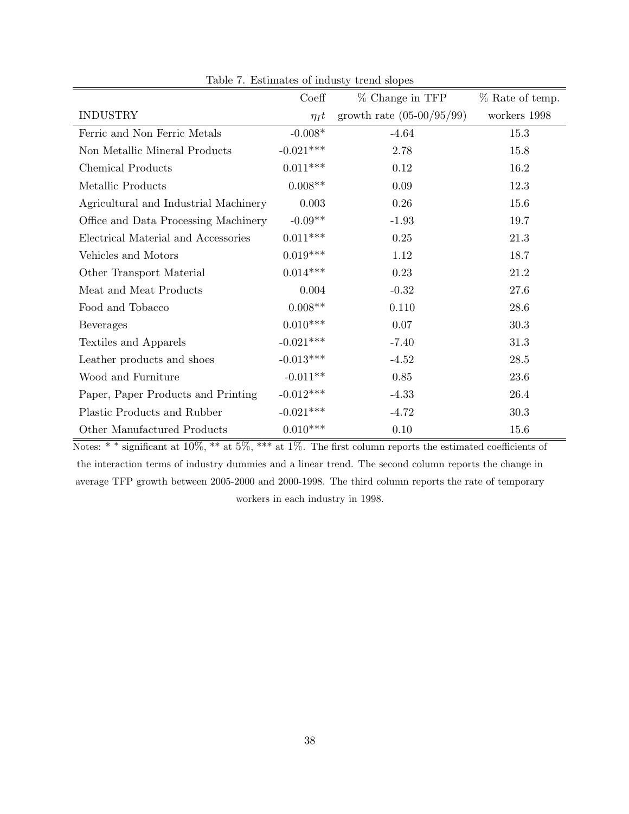|                                       | Coeff       | % Change in TFP                     | % Rate of temp. |
|---------------------------------------|-------------|-------------------------------------|-----------------|
|                                       |             |                                     |                 |
| <b>INDUSTRY</b>                       | $\eta_I t$  | growth rate $(05{\text -}00/95/99)$ | workers 1998    |
| Ferric and Non Ferric Metals          | $-0.008*$   | $-4.64$                             | 15.3            |
| Non Metallic Mineral Products         | $-0.021***$ | 2.78                                | 15.8            |
| <b>Chemical Products</b>              | $0.011***$  | 0.12                                | 16.2            |
| Metallic Products                     | $0.008**$   | $0.09\,$                            | 12.3            |
| Agricultural and Industrial Machinery | 0.003       | 0.26                                | 15.6            |
| Office and Data Processing Machinery  | $-0.09**$   | $-1.93$                             | 19.7            |
| Electrical Material and Accessories   | $0.011***$  | 0.25                                | 21.3            |
| Vehicles and Motors                   | $0.019***$  | 1.12                                | 18.7            |
| Other Transport Material              | $0.014***$  | 0.23                                | 21.2            |
| Meat and Meat Products                | 0.004       | $-0.32$                             | $27.6\,$        |
| Food and Tobacco                      | $0.008**$   | 0.110                               | 28.6            |
| Beverages                             | $0.010***$  | 0.07                                | 30.3            |
| Textiles and Apparels                 | $-0.021***$ | $-7.40$                             | 31.3            |
| Leather products and shoes            | $-0.013***$ | $-4.52$                             | 28.5            |
| Wood and Furniture                    | $-0.011**$  | 0.85                                | 23.6            |
| Paper, Paper Products and Printing    | $-0.012***$ | $-4.33$                             | 26.4            |
| Plastic Products and Rubber           | $-0.021***$ | $-4.72$                             | 30.3            |
| Other Manufactured Products           | $0.010***$  | 0.10                                | 15.6            |

Table 7. Estimates of industy trend slopes

Notes: \* <sup>∗</sup> significant at 10%, \*\* at 5%, \*\*\* at 1%. The first column reports the estimated coefficients of the interaction terms of industry dummies and a linear trend. The second column reports the change in average TFP growth between 2005-2000 and 2000-1998. The third column reports the rate of temporary workers in each industry in 1998.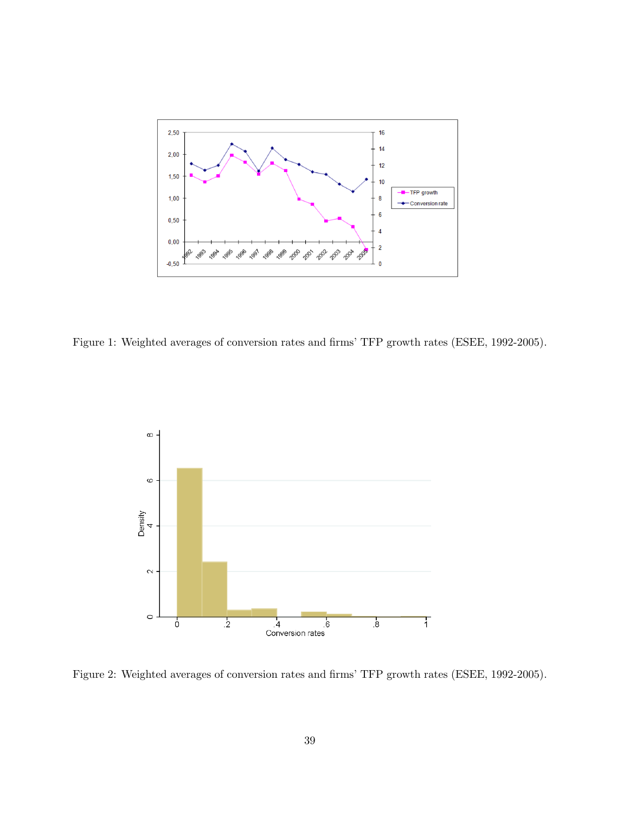

Figure 1: Weighted averages of conversion rates and firms' TFP growth rates (ESEE, 1992-2005).



Figure 2: Weighted averages of conversion rates and firms' TFP growth rates (ESEE, 1992-2005).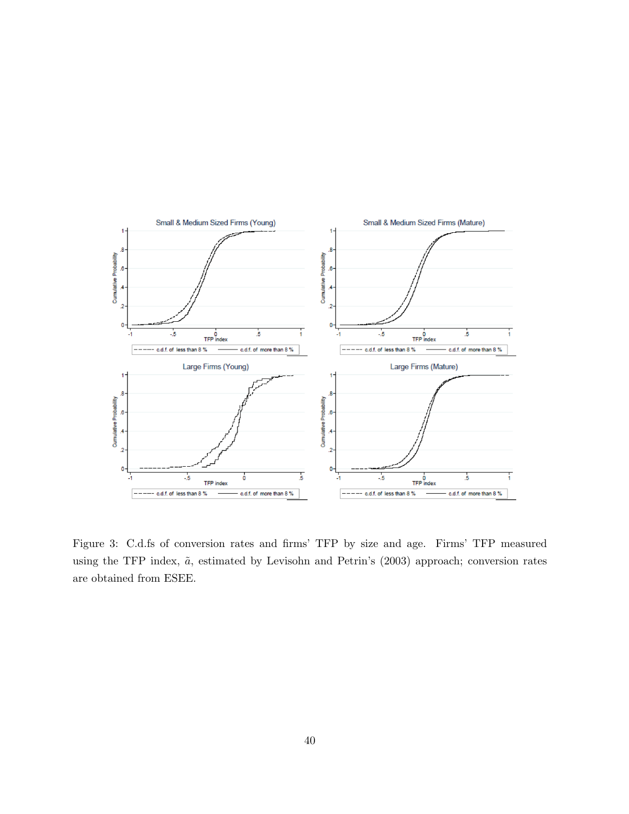

Figure 3: C.d.fs of conversion rates and firms' TFP by size and age. Firms' TFP measured using the TFP index,  $\tilde{a}$ , estimated by Levisohn and Petrin's (2003) approach; conversion rates are obtained from ESEE.